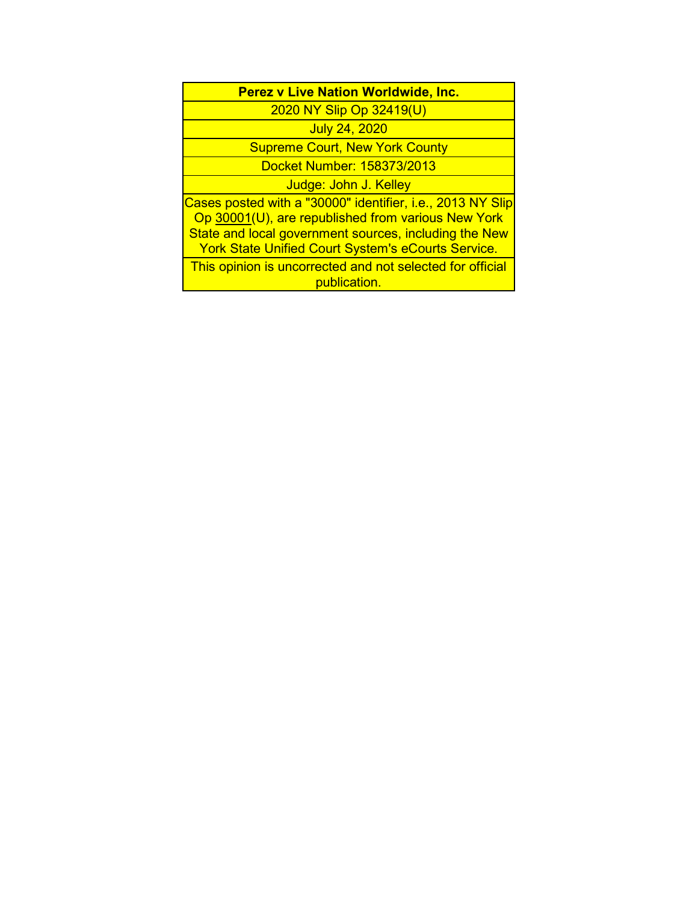| <b>Perez v Live Nation Worldwide, Inc.</b> |  |
|--------------------------------------------|--|
|--------------------------------------------|--|

2020 NY Slip Op 32419(U)

July 24, 2020

Supreme Court, New York County

Docket Number: 158373/2013

Judge: John J. Kelley

Cases posted with a "30000" identifier, i.e., 2013 NY Slip Op 30001(U), are republished from various New York State and local government sources, including the New York State Unified Court System's eCourts Service.

This opinion is uncorrected and not selected for official publication.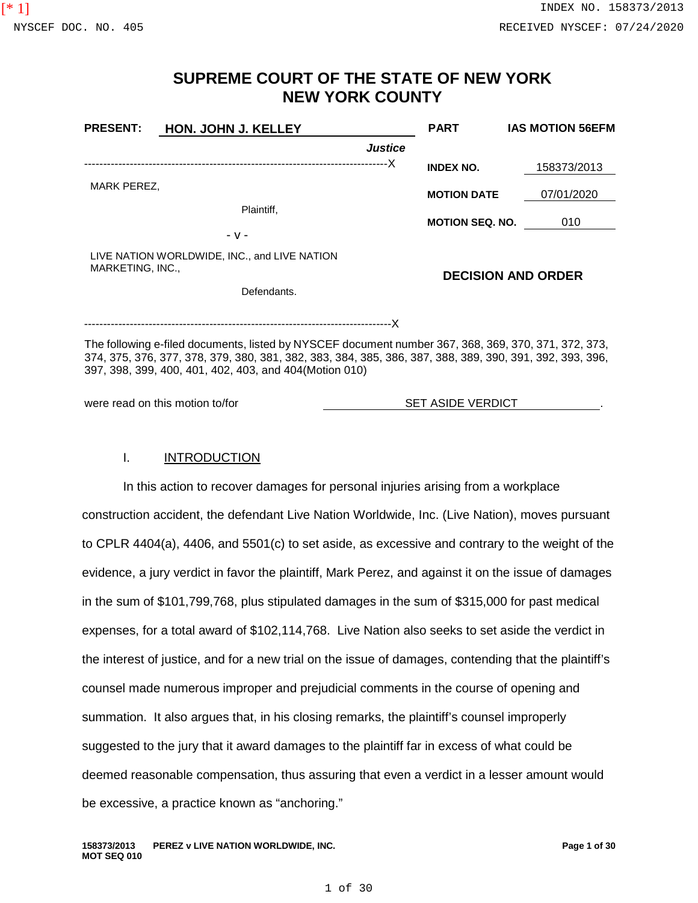# **SUPREME COURT OF THE STATE OF NEW YORK NEW YORK COUNTY**

| <b>PRESENT:</b>  | <b>HON. JOHN J. KELLEY</b>                                                                                                                                                                                                                                                  |                | <b>PART</b>              | <b>IAS MOTION 56EFM</b>   |  |
|------------------|-----------------------------------------------------------------------------------------------------------------------------------------------------------------------------------------------------------------------------------------------------------------------------|----------------|--------------------------|---------------------------|--|
|                  |                                                                                                                                                                                                                                                                             | <b>Justice</b> |                          |                           |  |
|                  |                                                                                                                                                                                                                                                                             |                | <b>INDEX NO.</b>         | 158373/2013               |  |
| MARK PEREZ,      |                                                                                                                                                                                                                                                                             |                | <b>MOTION DATE</b>       | 07/01/2020                |  |
|                  | Plaintiff,                                                                                                                                                                                                                                                                  |                |                          |                           |  |
|                  | - v -                                                                                                                                                                                                                                                                       |                | <b>MOTION SEQ. NO.</b>   | 010                       |  |
| MARKETING, INC., | LIVE NATION WORLDWIDE, INC., and LIVE NATION                                                                                                                                                                                                                                |                |                          | <b>DECISION AND ORDER</b> |  |
|                  | Defendants.                                                                                                                                                                                                                                                                 |                |                          |                           |  |
|                  |                                                                                                                                                                                                                                                                             |                |                          |                           |  |
|                  | The following e-filed documents, listed by NYSCEF document number 367, 368, 369, 370, 371, 372, 373,<br>374, 375, 376, 377, 378, 379, 380, 381, 382, 383, 384, 385, 386, 387, 388, 389, 390, 391, 392, 393, 396,<br>397, 398, 399, 400, 401, 402, 403, and 404 (Motion 010) |                |                          |                           |  |
|                  | were read on this motion to/for                                                                                                                                                                                                                                             |                | <b>SET ASIDE VERDICT</b> |                           |  |

## I. **INTRODUCTION**

In this action to recover damages for personal injuries arising from a workplace construction accident, the defendant Live Nation Worldwide, Inc. (Live Nation), moves pursuant to CPLR 4404(a), 4406, and 5501(c) to set aside, as excessive and contrary to the weight of the evidence, a jury verdict in favor the plaintiff, Mark Perez, and against it on the issue of damages in the sum of \$101,799,768, plus stipulated damages in the sum of \$315,000 for past medical expenses, for a total award of \$102,114,768. Live Nation also seeks to set aside the verdict in the interest of justice, and for a new trial on the issue of damages, contending that the plaintiff's counsel made numerous improper and prejudicial comments in the course of opening and summation. It also argues that, in his closing remarks, the plaintiff's counsel improperly suggested to the jury that it award damages to the plaintiff far in excess of what could be deemed reasonable compensation, thus assuring that even a verdict in a lesser amount would be excessive, a practice known as "anchoring."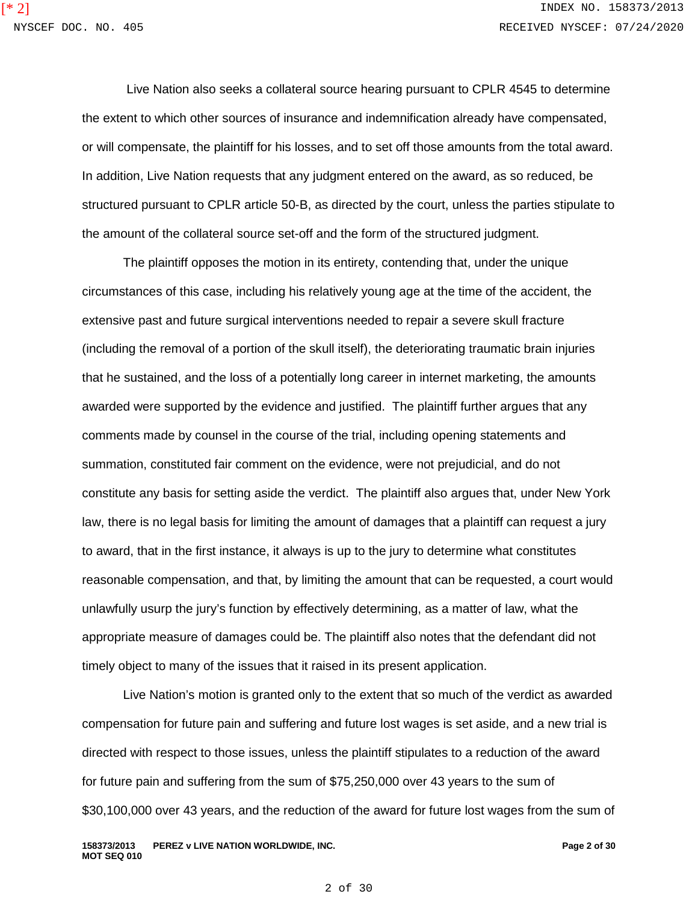Live Nation also seeks a collateral source hearing pursuant to CPLR 4545 to determine the extent to which other sources of insurance and indemnification already have compensated, or will compensate, the plaintiff for his losses, and to set off those amounts from the total award. In addition, Live Nation requests that any judgment entered on the award, as so reduced, be structured pursuant to CPLR article 50-B, as directed by the court, unless the parties stipulate to the amount of the collateral source set-off and the form of the structured judgment.

The plaintiff opposes the motion in its entirety, contending that, under the unique circumstances of this case, including his relatively young age at the time of the accident, the extensive past and future surgical interventions needed to repair a severe skull fracture (including the removal of a portion of the skull itself), the deteriorating traumatic brain injuries that he sustained, and the loss of a potentially long career in internet marketing, the amounts awarded were supported by the evidence and justified. The plaintiff further argues that any comments made by counsel in the course of the trial, including opening statements and summation, constituted fair comment on the evidence, were not prejudicial, and do not constitute any basis for setting aside the verdict. The plaintiff also argues that, under New York law, there is no legal basis for limiting the amount of damages that a plaintiff can request a jury to award, that in the first instance, it always is up to the jury to determine what constitutes reasonable compensation, and that, by limiting the amount that can be requested, a court would unlawfully usurp the jury's function by effectively determining, as a matter of law, what the appropriate measure of damages could be. The plaintiff also notes that the defendant did not timely object to many of the issues that it raised in its present application.

Live Nation's motion is granted only to the extent that so much of the verdict as awarded compensation for future pain and suffering and future lost wages is set aside, and a new trial is directed with respect to those issues, unless the plaintiff stipulates to a reduction of the award for future pain and suffering from the sum of \$75,250,000 over 43 years to the sum of \$30,100,000 over 43 years, and the reduction of the award for future lost wages from the sum of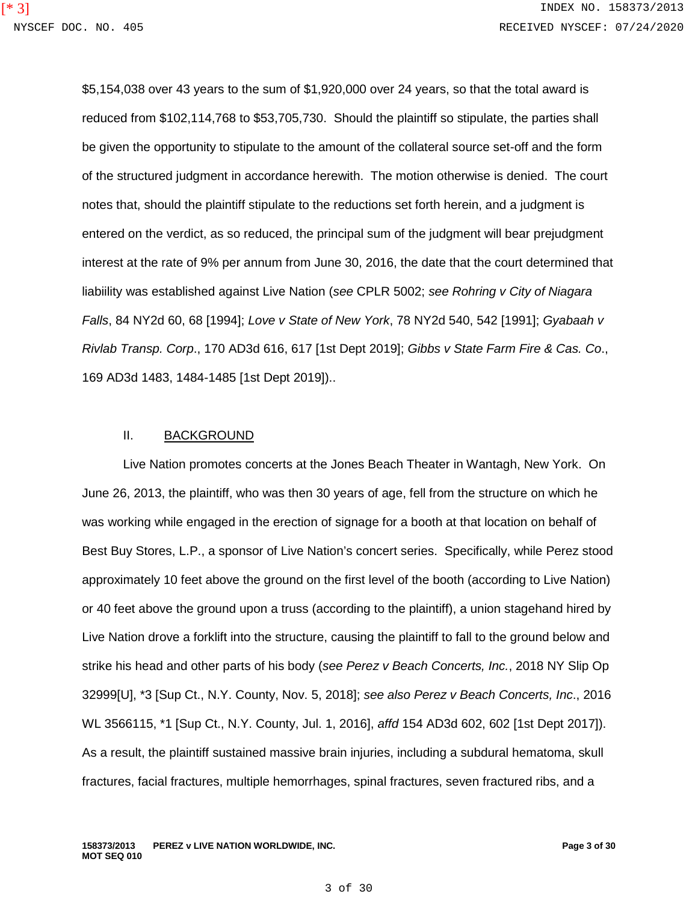\$5,154,038 over 43 years to the sum of \$1,920,000 over 24 years, so that the total award is reduced from \$102,114,768 to \$53,705,730. Should the plaintiff so stipulate, the parties shall be given the opportunity to stipulate to the amount of the collateral source set-off and the form of the structured judgment in accordance herewith. The motion otherwise is denied. The court notes that, should the plaintiff stipulate to the reductions set forth herein, and a judgment is entered on the verdict, as so reduced, the principal sum of the judgment will bear prejudgment interest at the rate of 9% per annum from June 30, 2016, the date that the court determined that liabiility was established against Live Nation (*see* CPLR 5002; *see Rohring v City of Niagara Falls*, 84 NY2d 60, 68 [1994]; *Love v State of New York*, 78 NY2d 540, 542 [1991]; *Gyabaah v Rivlab Transp. Corp*., 170 AD3d 616, 617 [1st Dept 2019]; *Gibbs v State Farm Fire & Cas. Co*., 169 AD3d 1483, 1484-1485 [1st Dept 2019])..

## II. BACKGROUND

Live Nation promotes concerts at the Jones Beach Theater in Wantagh, New York. On June 26, 2013, the plaintiff, who was then 30 years of age, fell from the structure on which he was working while engaged in the erection of signage for a booth at that location on behalf of Best Buy Stores, L.P., a sponsor of Live Nation's concert series. Specifically, while Perez stood approximately 10 feet above the ground on the first level of the booth (according to Live Nation) or 40 feet above the ground upon a truss (according to the plaintiff), a union stagehand hired by Live Nation drove a forklift into the structure, causing the plaintiff to fall to the ground below and strike his head and other parts of his body (*see Perez v Beach Concerts, Inc.*, 2018 NY Slip Op 32999[U], \*3 [Sup Ct., N.Y. County, Nov. 5, 2018]; *see also Perez v Beach Concerts, Inc*., 2016 WL 3566115, \*1 [Sup Ct., N.Y. County, Jul. 1, 2016], *affd* 154 AD3d 602, 602 [1st Dept 2017]). As a result, the plaintiff sustained massive brain injuries, including a subdural hematoma, skull fractures, facial fractures, multiple hemorrhages, spinal fractures, seven fractured ribs, and a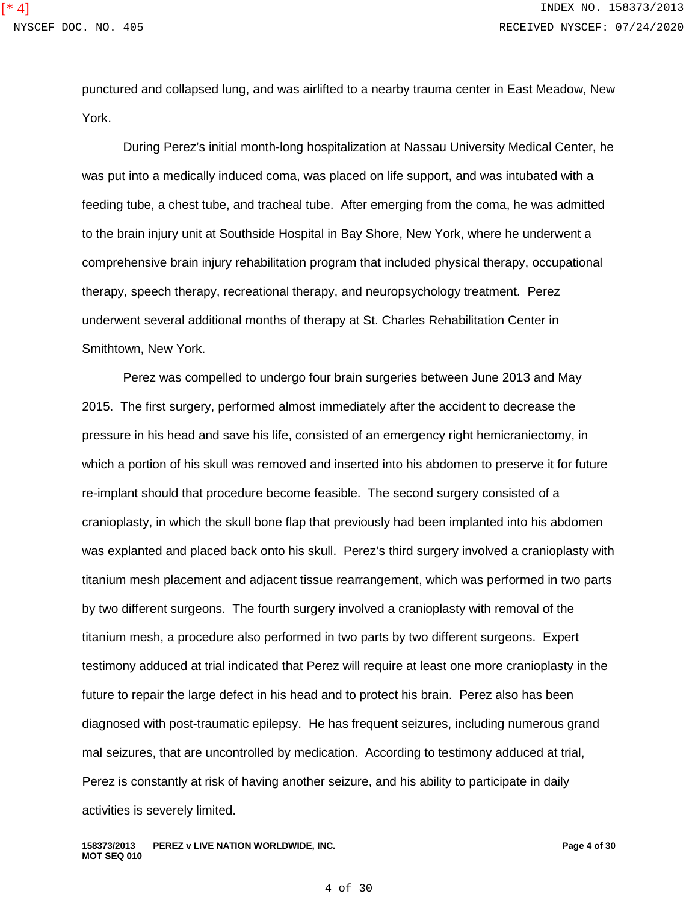punctured and collapsed lung, and was airlifted to a nearby trauma center in East Meadow, New York.

During Perez's initial month-long hospitalization at Nassau University Medical Center, he was put into a medically induced coma, was placed on life support, and was intubated with a feeding tube, a chest tube, and tracheal tube. After emerging from the coma, he was admitted to the brain injury unit at Southside Hospital in Bay Shore, New York, where he underwent a comprehensive brain injury rehabilitation program that included physical therapy, occupational therapy, speech therapy, recreational therapy, and neuropsychology treatment. Perez underwent several additional months of therapy at St. Charles Rehabilitation Center in Smithtown, New York.

Perez was compelled to undergo four brain surgeries between June 2013 and May 2015. The first surgery, performed almost immediately after the accident to decrease the pressure in his head and save his life, consisted of an emergency right hemicraniectomy, in which a portion of his skull was removed and inserted into his abdomen to preserve it for future re-implant should that procedure become feasible. The second surgery consisted of a cranioplasty, in which the skull bone flap that previously had been implanted into his abdomen was explanted and placed back onto his skull. Perez's third surgery involved a cranioplasty with titanium mesh placement and adjacent tissue rearrangement, which was performed in two parts by two different surgeons. The fourth surgery involved a cranioplasty with removal of the titanium mesh, a procedure also performed in two parts by two different surgeons. Expert testimony adduced at trial indicated that Perez will require at least one more cranioplasty in the future to repair the large defect in his head and to protect his brain. Perez also has been diagnosed with post-traumatic epilepsy. He has frequent seizures, including numerous grand mal seizures, that are uncontrolled by medication. According to testimony adduced at trial, Perez is constantly at risk of having another seizure, and his ability to participate in daily activities is severely limited.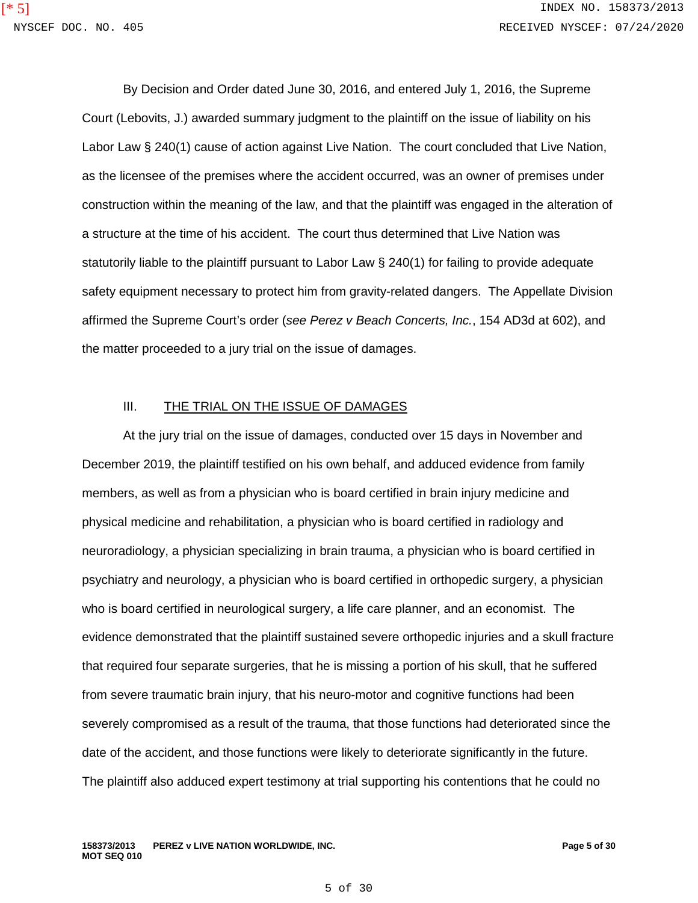By Decision and Order dated June 30, 2016, and entered July 1, 2016, the Supreme Court (Lebovits, J.) awarded summary judgment to the plaintiff on the issue of liability on his Labor Law § 240(1) cause of action against Live Nation. The court concluded that Live Nation, as the licensee of the premises where the accident occurred, was an owner of premises under construction within the meaning of the law, and that the plaintiff was engaged in the alteration of a structure at the time of his accident. The court thus determined that Live Nation was statutorily liable to the plaintiff pursuant to Labor Law § 240(1) for failing to provide adequate safety equipment necessary to protect him from gravity-related dangers. The Appellate Division affirmed the Supreme Court's order (*see Perez v Beach Concerts, Inc.*, 154 AD3d at 602), and the matter proceeded to a jury trial on the issue of damages.

#### III. THE TRIAL ON THE ISSUE OF DAMAGES

At the jury trial on the issue of damages, conducted over 15 days in November and December 2019, the plaintiff testified on his own behalf, and adduced evidence from family members, as well as from a physician who is board certified in brain injury medicine and physical medicine and rehabilitation, a physician who is board certified in radiology and neuroradiology, a physician specializing in brain trauma, a physician who is board certified in psychiatry and neurology, a physician who is board certified in orthopedic surgery, a physician who is board certified in neurological surgery, a life care planner, and an economist. The evidence demonstrated that the plaintiff sustained severe orthopedic injuries and a skull fracture that required four separate surgeries, that he is missing a portion of his skull, that he suffered from severe traumatic brain injury, that his neuro-motor and cognitive functions had been severely compromised as a result of the trauma, that those functions had deteriorated since the date of the accident, and those functions were likely to deteriorate significantly in the future. The plaintiff also adduced expert testimony at trial supporting his contentions that he could no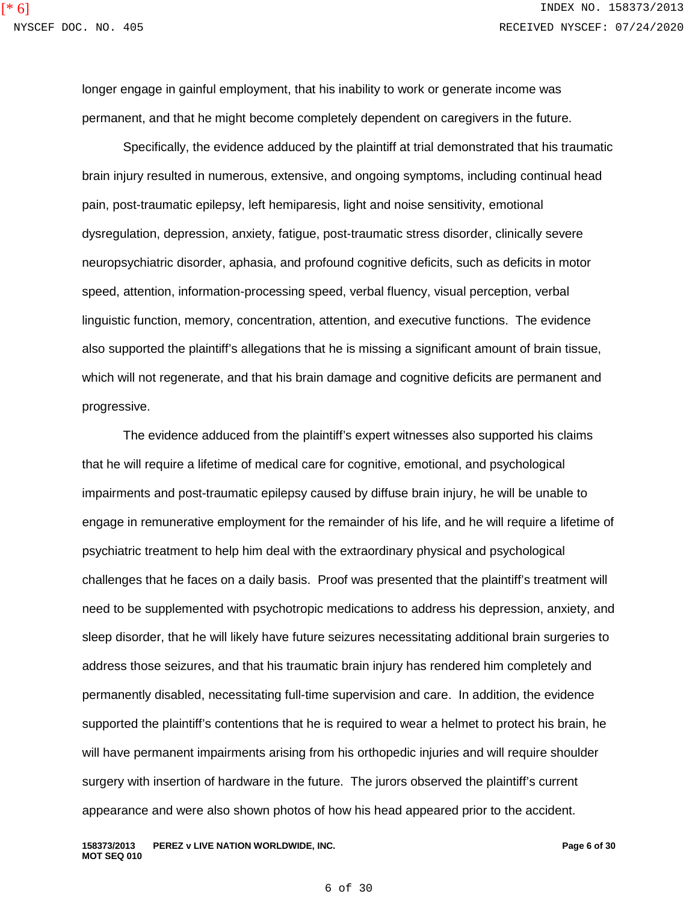longer engage in gainful employment, that his inability to work or generate income was permanent, and that he might become completely dependent on caregivers in the future.

Specifically, the evidence adduced by the plaintiff at trial demonstrated that his traumatic brain injury resulted in numerous, extensive, and ongoing symptoms, including continual head pain, post-traumatic epilepsy, left hemiparesis, light and noise sensitivity, emotional dysregulation, depression, anxiety, fatigue, post-traumatic stress disorder, clinically severe neuropsychiatric disorder, aphasia, and profound cognitive deficits, such as deficits in motor speed, attention, information-processing speed, verbal fluency, visual perception, verbal linguistic function, memory, concentration, attention, and executive functions. The evidence also supported the plaintiff's allegations that he is missing a significant amount of brain tissue, which will not regenerate, and that his brain damage and cognitive deficits are permanent and progressive.

The evidence adduced from the plaintiff's expert witnesses also supported his claims that he will require a lifetime of medical care for cognitive, emotional, and psychological impairments and post-traumatic epilepsy caused by diffuse brain injury, he will be unable to engage in remunerative employment for the remainder of his life, and he will require a lifetime of psychiatric treatment to help him deal with the extraordinary physical and psychological challenges that he faces on a daily basis. Proof was presented that the plaintiff's treatment will need to be supplemented with psychotropic medications to address his depression, anxiety, and sleep disorder, that he will likely have future seizures necessitating additional brain surgeries to address those seizures, and that his traumatic brain injury has rendered him completely and permanently disabled, necessitating full-time supervision and care. In addition, the evidence supported the plaintiff's contentions that he is required to wear a helmet to protect his brain, he will have permanent impairments arising from his orthopedic injuries and will require shoulder surgery with insertion of hardware in the future. The jurors observed the plaintiff's current appearance and were also shown photos of how his head appeared prior to the accident.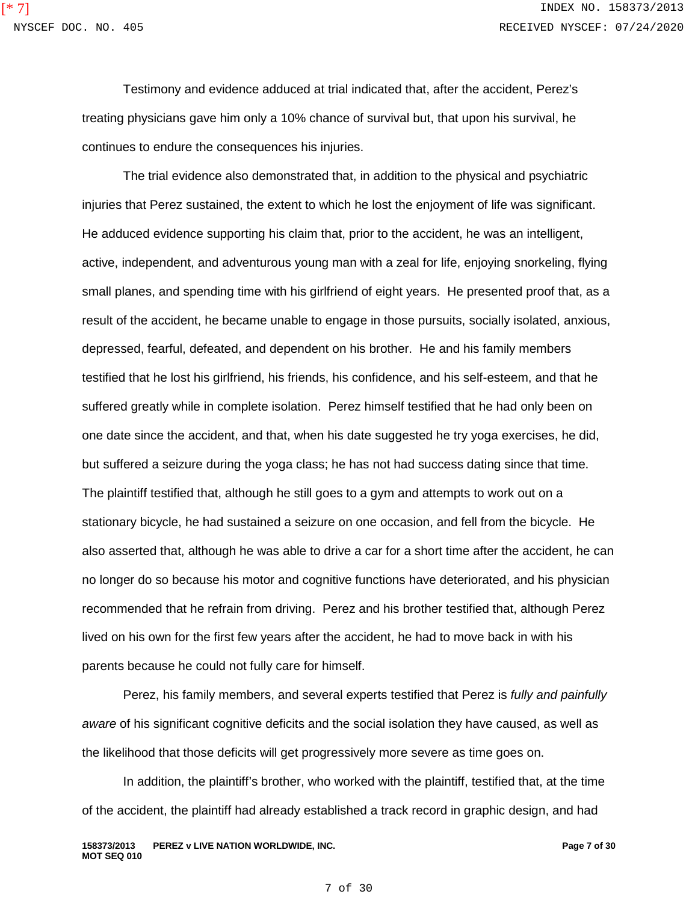Testimony and evidence adduced at trial indicated that, after the accident, Perez's treating physicians gave him only a 10% chance of survival but, that upon his survival, he continues to endure the consequences his injuries.

The trial evidence also demonstrated that, in addition to the physical and psychiatric injuries that Perez sustained, the extent to which he lost the enjoyment of life was significant. He adduced evidence supporting his claim that, prior to the accident, he was an intelligent, active, independent, and adventurous young man with a zeal for life, enjoying snorkeling, flying small planes, and spending time with his girlfriend of eight years. He presented proof that, as a result of the accident, he became unable to engage in those pursuits, socially isolated, anxious, depressed, fearful, defeated, and dependent on his brother. He and his family members testified that he lost his girlfriend, his friends, his confidence, and his self-esteem, and that he suffered greatly while in complete isolation. Perez himself testified that he had only been on one date since the accident, and that, when his date suggested he try yoga exercises, he did, but suffered a seizure during the yoga class; he has not had success dating since that time. The plaintiff testified that, although he still goes to a gym and attempts to work out on a stationary bicycle, he had sustained a seizure on one occasion, and fell from the bicycle. He also asserted that, although he was able to drive a car for a short time after the accident, he can no longer do so because his motor and cognitive functions have deteriorated, and his physician recommended that he refrain from driving. Perez and his brother testified that, although Perez lived on his own for the first few years after the accident, he had to move back in with his parents because he could not fully care for himself.

Perez, his family members, and several experts testified that Perez is *fully and painfully aware* of his significant cognitive deficits and the social isolation they have caused, as well as the likelihood that those deficits will get progressively more severe as time goes on.

In addition, the plaintiff's brother, who worked with the plaintiff, testified that, at the time of the accident, the plaintiff had already established a track record in graphic design, and had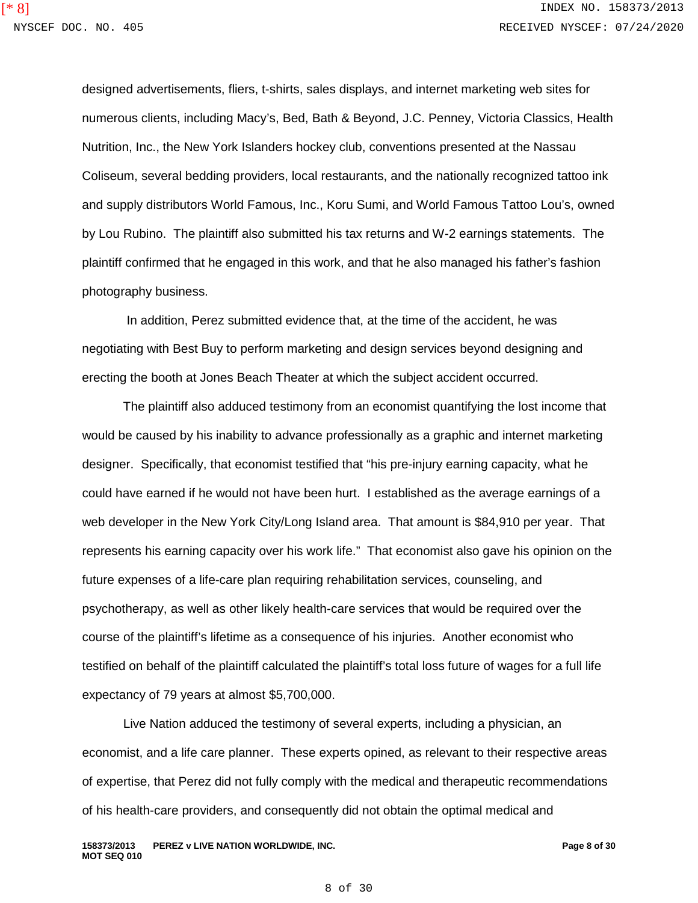designed advertisements, fliers, t-shirts, sales displays, and internet marketing web sites for numerous clients, including Macy's, Bed, Bath & Beyond, J.C. Penney, Victoria Classics, Health Nutrition, Inc., the New York Islanders hockey club, conventions presented at the Nassau Coliseum, several bedding providers, local restaurants, and the nationally recognized tattoo ink and supply distributors World Famous, Inc., Koru Sumi, and World Famous Tattoo Lou's, owned by Lou Rubino. The plaintiff also submitted his tax returns and W-2 earnings statements. The plaintiff confirmed that he engaged in this work, and that he also managed his father's fashion photography business.

In addition, Perez submitted evidence that, at the time of the accident, he was negotiating with Best Buy to perform marketing and design services beyond designing and erecting the booth at Jones Beach Theater at which the subject accident occurred.

The plaintiff also adduced testimony from an economist quantifying the lost income that would be caused by his inability to advance professionally as a graphic and internet marketing designer. Specifically, that economist testified that "his pre-injury earning capacity, what he could have earned if he would not have been hurt. I established as the average earnings of a web developer in the New York City/Long Island area. That amount is \$84,910 per year. That represents his earning capacity over his work life." That economist also gave his opinion on the future expenses of a life-care plan requiring rehabilitation services, counseling, and psychotherapy, as well as other likely health-care services that would be required over the course of the plaintiff's lifetime as a consequence of his injuries. Another economist who testified on behalf of the plaintiff calculated the plaintiff's total loss future of wages for a full life expectancy of 79 years at almost \$5,700,000.

Live Nation adduced the testimony of several experts, including a physician, an economist, and a life care planner. These experts opined, as relevant to their respective areas of expertise, that Perez did not fully comply with the medical and therapeutic recommendations of his health-care providers, and consequently did not obtain the optimal medical and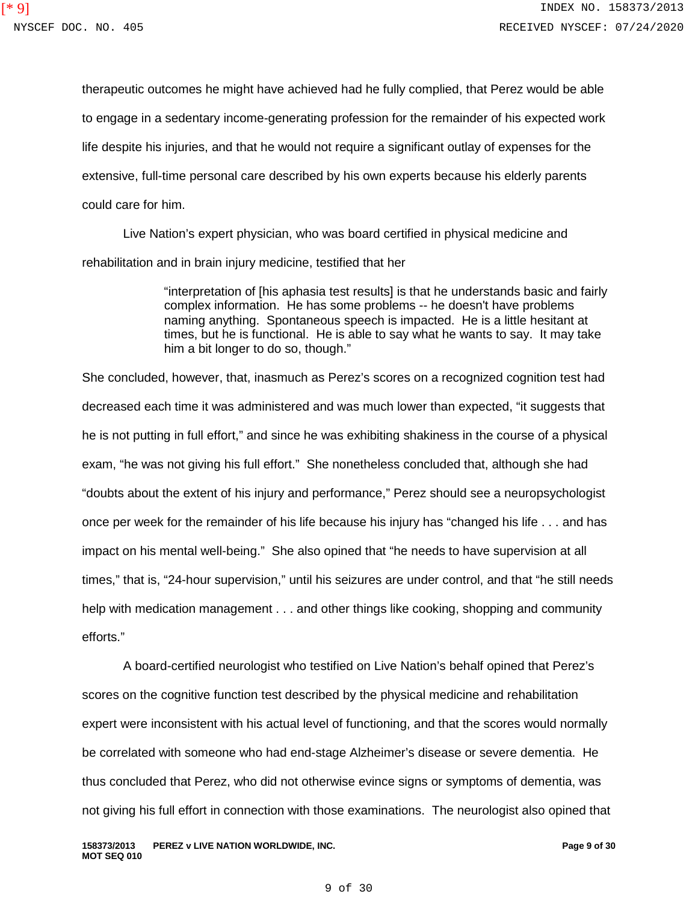therapeutic outcomes he might have achieved had he fully complied, that Perez would be able to engage in a sedentary income-generating profession for the remainder of his expected work life despite his injuries, and that he would not require a significant outlay of expenses for the extensive, full-time personal care described by his own experts because his elderly parents could care for him.

Live Nation's expert physician, who was board certified in physical medicine and rehabilitation and in brain injury medicine, testified that her

> "interpretation of [his aphasia test results] is that he understands basic and fairly complex information. He has some problems -- he doesn't have problems naming anything. Spontaneous speech is impacted. He is a little hesitant at times, but he is functional. He is able to say what he wants to say. It may take him a bit longer to do so, though."

She concluded, however, that, inasmuch as Perez's scores on a recognized cognition test had decreased each time it was administered and was much lower than expected, "it suggests that he is not putting in full effort," and since he was exhibiting shakiness in the course of a physical exam, "he was not giving his full effort." She nonetheless concluded that, although she had "doubts about the extent of his injury and performance," Perez should see a neuropsychologist once per week for the remainder of his life because his injury has "changed his life . . . and has impact on his mental well-being." She also opined that "he needs to have supervision at all times," that is, "24-hour supervision," until his seizures are under control, and that "he still needs help with medication management . . . and other things like cooking, shopping and community efforts."

A board-certified neurologist who testified on Live Nation's behalf opined that Perez's scores on the cognitive function test described by the physical medicine and rehabilitation expert were inconsistent with his actual level of functioning, and that the scores would normally be correlated with someone who had end-stage Alzheimer's disease or severe dementia. He thus concluded that Perez, who did not otherwise evince signs or symptoms of dementia, was not giving his full effort in connection with those examinations. The neurologist also opined that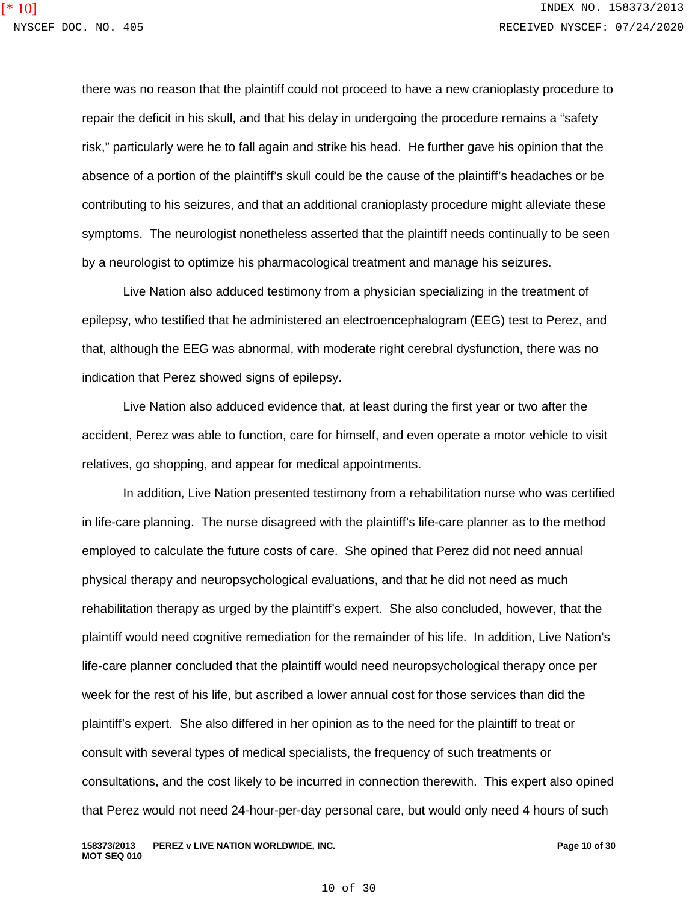there was no reason that the plaintiff could not proceed to have a new cranioplasty procedure to repair the deficit in his skull, and that his delay in undergoing the procedure remains a "safety risk," particularly were he to fall again and strike his head. He further gave his opinion that the absence of a portion of the plaintiff's skull could be the cause of the plaintiff's headaches or be contributing to his seizures, and that an additional cranioplasty procedure might alleviate these symptoms. The neurologist nonetheless asserted that the plaintiff needs continually to be seen by a neurologist to optimize his pharmacological treatment and manage his seizures.

Live Nation also adduced testimony from a physician specializing in the treatment of epilepsy, who testified that he administered an electroencephalogram (EEG) test to Perez, and that, although the EEG was abnormal, with moderate right cerebral dysfunction, there was no indication that Perez showed signs of epilepsy.

Live Nation also adduced evidence that, at least during the first year or two after the accident, Perez was able to function, care for himself, and even operate a motor vehicle to visit relatives, go shopping, and appear for medical appointments.

In addition, Live Nation presented testimony from a rehabilitation nurse who was certified in life-care planning. The nurse disagreed with the plaintiff's life-care planner as to the method employed to calculate the future costs of care. She opined that Perez did not need annual physical therapy and neuropsychological evaluations, and that he did not need as much rehabilitation therapy as urged by the plaintiff's expert. She also concluded, however, that the plaintiff would need cognitive remediation for the remainder of his life. In addition, Live Nation's life-care planner concluded that the plaintiff would need neuropsychological therapy once per week for the rest of his life, but ascribed a lower annual cost for those services than did the plaintiff's expert. She also differed in her opinion as to the need for the plaintiff to treat or consult with several types of medical specialists, the frequency of such treatments or consultations, and the cost likely to be incurred in connection therewith. This expert also opined that Perez would not need 24-hour-per-day personal care, but would only need 4 hours of such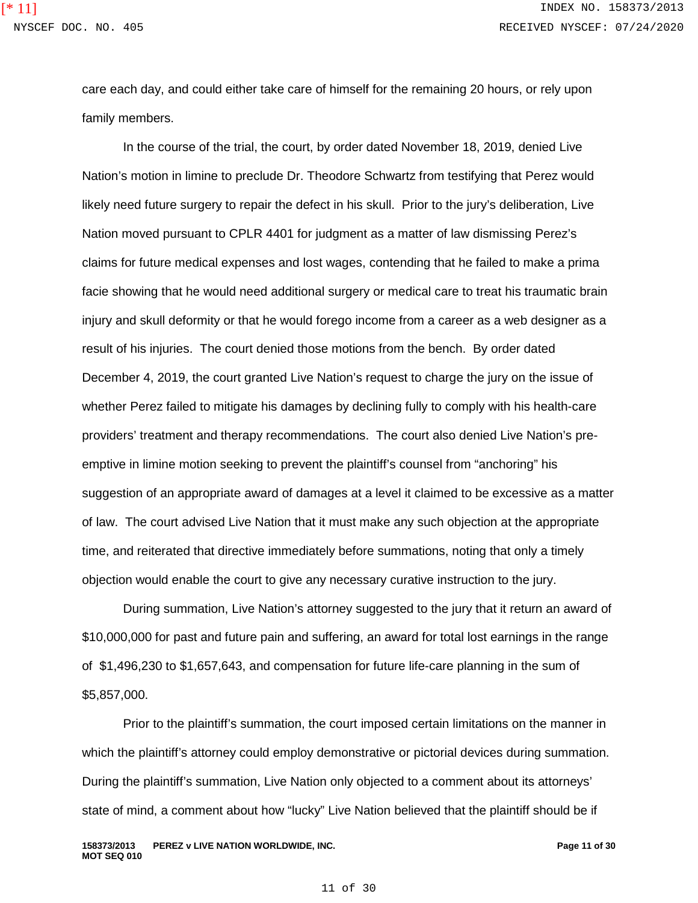care each day, and could either take care of himself for the remaining 20 hours, or rely upon family members.

In the course of the trial, the court, by order dated November 18, 2019, denied Live Nation's motion in limine to preclude Dr. Theodore Schwartz from testifying that Perez would likely need future surgery to repair the defect in his skull. Prior to the jury's deliberation, Live Nation moved pursuant to CPLR 4401 for judgment as a matter of law dismissing Perez's claims for future medical expenses and lost wages, contending that he failed to make a prima facie showing that he would need additional surgery or medical care to treat his traumatic brain injury and skull deformity or that he would forego income from a career as a web designer as a result of his injuries. The court denied those motions from the bench. By order dated December 4, 2019, the court granted Live Nation's request to charge the jury on the issue of whether Perez failed to mitigate his damages by declining fully to comply with his health-care providers' treatment and therapy recommendations. The court also denied Live Nation's preemptive in limine motion seeking to prevent the plaintiff's counsel from "anchoring" his suggestion of an appropriate award of damages at a level it claimed to be excessive as a matter of law. The court advised Live Nation that it must make any such objection at the appropriate time, and reiterated that directive immediately before summations, noting that only a timely objection would enable the court to give any necessary curative instruction to the jury.

During summation, Live Nation's attorney suggested to the jury that it return an award of \$10,000,000 for past and future pain and suffering, an award for total lost earnings in the range of \$1,496,230 to \$1,657,643, and compensation for future life-care planning in the sum of \$5,857,000.

Prior to the plaintiff's summation, the court imposed certain limitations on the manner in which the plaintiff's attorney could employ demonstrative or pictorial devices during summation. During the plaintiff's summation, Live Nation only objected to a comment about its attorneys' state of mind, a comment about how "lucky" Live Nation believed that the plaintiff should be if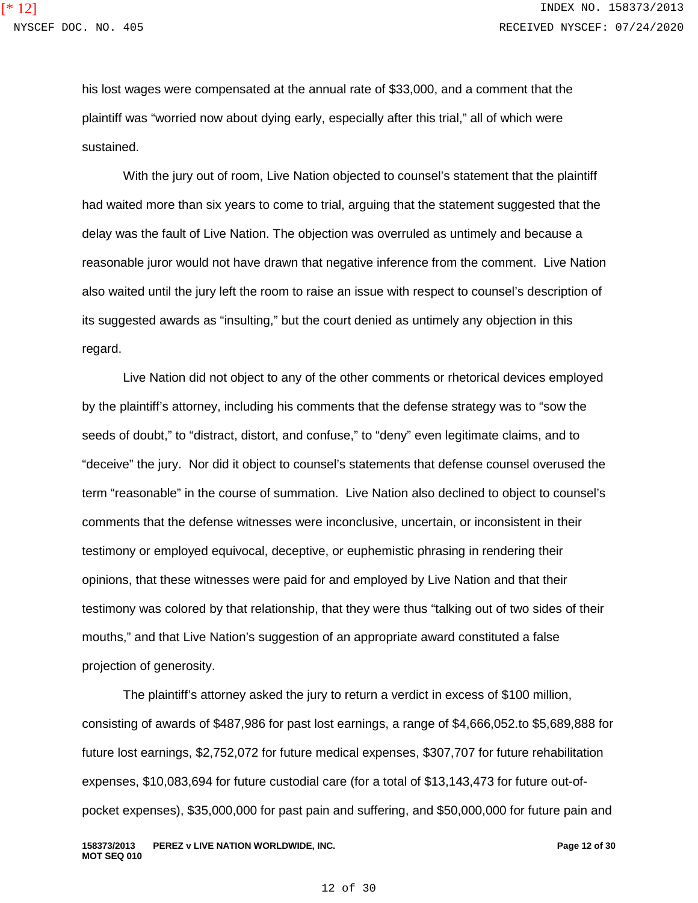his lost wages were compensated at the annual rate of \$33,000, and a comment that the plaintiff was "worried now about dying early, especially after this trial," all of which were sustained.

With the jury out of room, Live Nation objected to counsel's statement that the plaintiff had waited more than six years to come to trial, arguing that the statement suggested that the delay was the fault of Live Nation. The objection was overruled as untimely and because a reasonable juror would not have drawn that negative inference from the comment. Live Nation also waited until the jury left the room to raise an issue with respect to counsel's description of its suggested awards as "insulting," but the court denied as untimely any objection in this regard.

Live Nation did not object to any of the other comments or rhetorical devices employed by the plaintiff's attorney, including his comments that the defense strategy was to "sow the seeds of doubt," to "distract, distort, and confuse," to "deny" even legitimate claims, and to "deceive" the jury. Nor did it object to counsel's statements that defense counsel overused the term "reasonable" in the course of summation. Live Nation also declined to object to counsel's comments that the defense witnesses were inconclusive, uncertain, or inconsistent in their testimony or employed equivocal, deceptive, or euphemistic phrasing in rendering their opinions, that these witnesses were paid for and employed by Live Nation and that their testimony was colored by that relationship, that they were thus "talking out of two sides of their mouths," and that Live Nation's suggestion of an appropriate award constituted a false projection of generosity.

The plaintiff's attorney asked the jury to return a verdict in excess of \$100 million, consisting of awards of \$487,986 for past lost earnings, a range of \$4,666,052.to \$5,689,888 for future lost earnings, \$2,752,072 for future medical expenses, \$307,707 for future rehabilitation expenses, \$10,083,694 for future custodial care (for a total of \$13,143,473 for future out-ofpocket expenses), \$35,000,000 for past pain and suffering, and \$50,000,000 for future pain and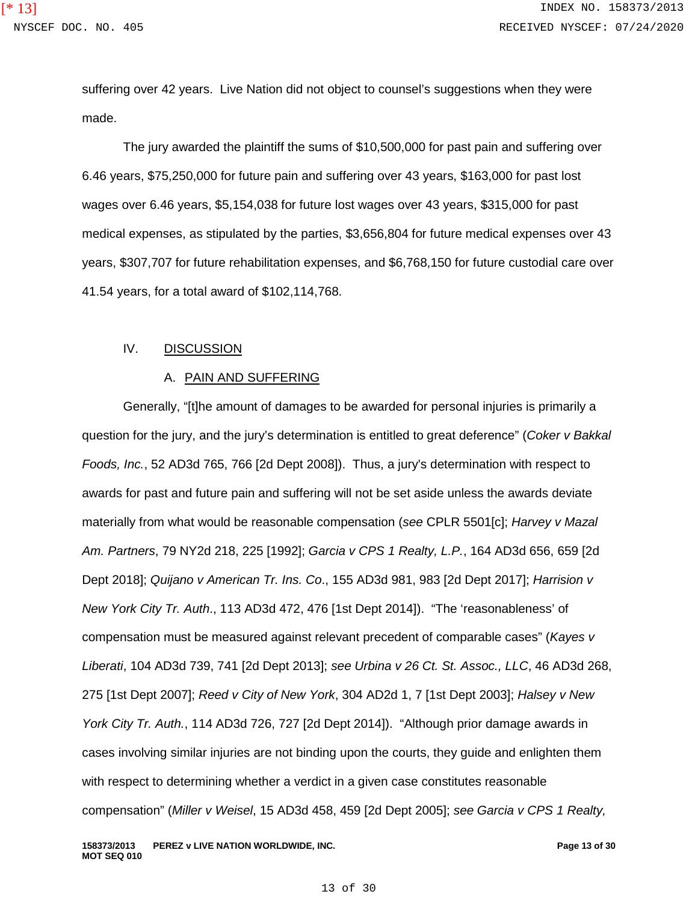suffering over 42 years. Live Nation did not object to counsel's suggestions when they were made.

The jury awarded the plaintiff the sums of \$10,500,000 for past pain and suffering over 6.46 years, \$75,250,000 for future pain and suffering over 43 years, \$163,000 for past lost wages over 6.46 years, \$5,154,038 for future lost wages over 43 years, \$315,000 for past medical expenses, as stipulated by the parties, \$3,656,804 for future medical expenses over 43 years, \$307,707 for future rehabilitation expenses, and \$6,768,150 for future custodial care over 41.54 years, for a total award of \$102,114,768.

#### IV. DISCUSSION

#### A. PAIN AND SUFFERING

Generally, "[t]he amount of damages to be awarded for personal injuries is primarily a question for the jury, and the jury's determination is entitled to great deference" (*Coker v Bakkal Foods, Inc.*, 52 AD3d 765, 766 [2d Dept 2008]). Thus, a jury's determination with respect to awards for past and future pain and suffering will not be set aside unless the awards deviate materially from what would be reasonable compensation (*see* CPLR 5501[c]; *Harvey v Mazal Am. Partners*, 79 NY2d 218, 225 [1992]; *Garcia v CPS 1 Realty, L.P.*, 164 AD3d 656, 659 [2d Dept 2018]; *Quijano v American Tr. Ins. Co*., 155 AD3d 981, 983 [2d Dept 2017]; *Harrision v New York City Tr. Auth*., 113 AD3d 472, 476 [1st Dept 2014]). "The 'reasonableness' of compensation must be measured against relevant precedent of comparable cases" (*Kayes v Liberati*, 104 AD3d 739, 741 [2d Dept 2013]; *see Urbina v 26 Ct. St. Assoc., LLC*, 46 AD3d 268, 275 [1st Dept 2007]; *Reed v City of New York*, 304 AD2d 1, 7 [1st Dept 2003]; *Halsey v New York City Tr. Auth.*, 114 AD3d 726, 727 [2d Dept 2014]). "Although prior damage awards in cases involving similar injuries are not binding upon the courts, they guide and enlighten them with respect to determining whether a verdict in a given case constitutes reasonable compensation" (*Miller v Weisel*, 15 AD3d 458, 459 [2d Dept 2005]; *see Garcia v CPS 1 Realty,*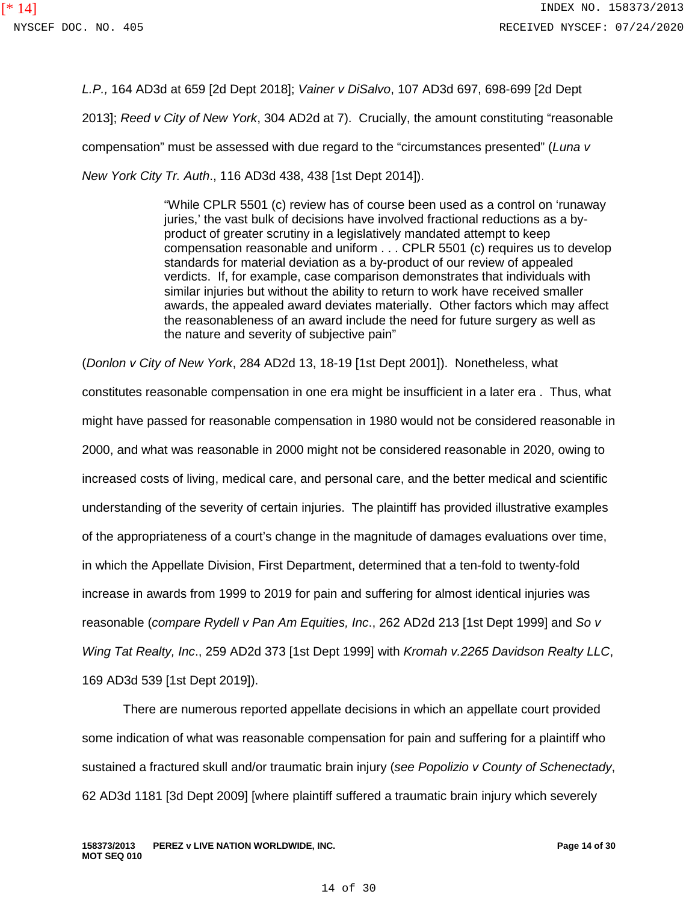*L.P.,* 164 AD3d at 659 [2d Dept 2018]; *Vainer v DiSalvo*, 107 AD3d 697, 698-699 [2d Dept 2013]; *Reed v City of New York*, 304 AD2d at 7). Crucially, the amount constituting "reasonable compensation" must be assessed with due regard to the "circumstances presented" (*Luna v New York City Tr. Auth*., 116 AD3d 438, 438 [1st Dept 2014]).

> "While CPLR 5501 (c) review has of course been used as a control on 'runaway juries,' the vast bulk of decisions have involved fractional reductions as a byproduct of greater scrutiny in a legislatively mandated attempt to keep compensation reasonable and uniform . . . CPLR 5501 (c) requires us to develop standards for material deviation as a by-product of our review of appealed verdicts. If, for example, case comparison demonstrates that individuals with similar injuries but without the ability to return to work have received smaller awards, the appealed award deviates materially. Other factors which may affect the reasonableness of an award include the need for future surgery as well as the nature and severity of subjective pain"

(*Donlon v City of New York*, 284 AD2d 13, 18-19 [1st Dept 2001]). Nonetheless, what constitutes reasonable compensation in one era might be insufficient in a later era . Thus, what might have passed for reasonable compensation in 1980 would not be considered reasonable in 2000, and what was reasonable in 2000 might not be considered reasonable in 2020, owing to increased costs of living, medical care, and personal care, and the better medical and scientific understanding of the severity of certain injuries. The plaintiff has provided illustrative examples of the appropriateness of a court's change in the magnitude of damages evaluations over time, in which the Appellate Division, First Department, determined that a ten-fold to twenty-fold increase in awards from 1999 to 2019 for pain and suffering for almost identical injuries was reasonable (*compare Rydell v Pan Am Equities, Inc*., 262 AD2d 213 [1st Dept 1999] and *So v Wing Tat Realty, Inc*., 259 AD2d 373 [1st Dept 1999] with *Kromah v.2265 Davidson Realty LLC*, 169 AD3d 539 [1st Dept 2019]).

There are numerous reported appellate decisions in which an appellate court provided some indication of what was reasonable compensation for pain and suffering for a plaintiff who sustained a fractured skull and/or traumatic brain injury (*see Popolizio v County of Schenectady*, 62 AD3d 1181 [3d Dept 2009] [where plaintiff suffered a traumatic brain injury which severely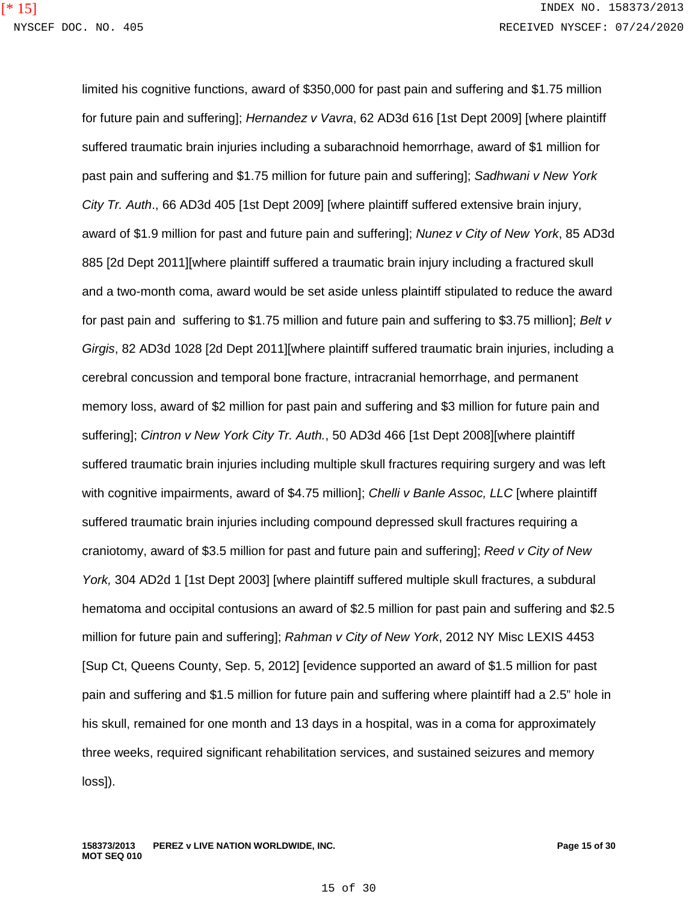limited his cognitive functions, award of \$350,000 for past pain and suffering and \$1.75 million for future pain and suffering]; *Hernandez v Vavra*, 62 AD3d 616 [1st Dept 2009] [where plaintiff suffered traumatic brain injuries including a subarachnoid hemorrhage, award of \$1 million for past pain and suffering and \$1.75 million for future pain and suffering]; *Sadhwani v New York City Tr. Auth*., 66 AD3d 405 [1st Dept 2009] [where plaintiff suffered extensive brain injury, award of \$1.9 million for past and future pain and suffering]; *Nunez v City of New York*, 85 AD3d 885 [2d Dept 2011][where plaintiff suffered a traumatic brain injury including a fractured skull and a two-month coma, award would be set aside unless plaintiff stipulated to reduce the award for past pain and suffering to \$1.75 million and future pain and suffering to \$3.75 million]; *Belt v Girgis*, 82 AD3d 1028 [2d Dept 2011][where plaintiff suffered traumatic brain injuries, including a cerebral concussion and temporal bone fracture, intracranial hemorrhage, and permanent memory loss, award of \$2 million for past pain and suffering and \$3 million for future pain and suffering]; *Cintron v New York City Tr. Auth.*, 50 AD3d 466 [1st Dept 2008][where plaintiff suffered traumatic brain injuries including multiple skull fractures requiring surgery and was left with cognitive impairments, award of \$4.75 million]; *Chelli v Banle Assoc, LLC* [where plaintiff suffered traumatic brain injuries including compound depressed skull fractures requiring a craniotomy, award of \$3.5 million for past and future pain and suffering]; *Reed v City of New York,* 304 AD2d 1 [1st Dept 2003] [where plaintiff suffered multiple skull fractures, a subdural hematoma and occipital contusions an award of \$2.5 million for past pain and suffering and \$2.5 million for future pain and suffering]; *Rahman v City of New York*, 2012 NY Misc LEXIS 4453 [Sup Ct, Queens County, Sep. 5, 2012] [evidence supported an award of \$1.5 million for past pain and suffering and \$1.5 million for future pain and suffering where plaintiff had a 2.5" hole in his skull, remained for one month and 13 days in a hospital, was in a coma for approximately three weeks, required significant rehabilitation services, and sustained seizures and memory loss]).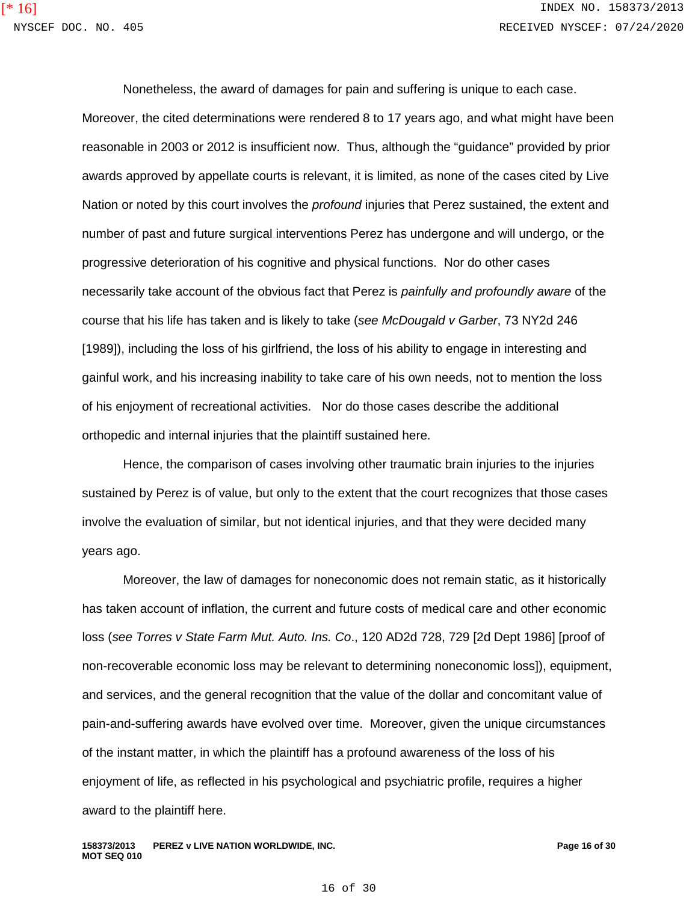Nonetheless, the award of damages for pain and suffering is unique to each case. Moreover, the cited determinations were rendered 8 to 17 years ago, and what might have been reasonable in 2003 or 2012 is insufficient now. Thus, although the "guidance" provided by prior awards approved by appellate courts is relevant, it is limited, as none of the cases cited by Live Nation or noted by this court involves the *profound* injuries that Perez sustained, the extent and number of past and future surgical interventions Perez has undergone and will undergo, or the progressive deterioration of his cognitive and physical functions. Nor do other cases necessarily take account of the obvious fact that Perez is *painfully and profoundly aware* of the course that his life has taken and is likely to take (*see McDougald v Garber*, 73 NY2d 246 [1989]), including the loss of his girlfriend, the loss of his ability to engage in interesting and gainful work, and his increasing inability to take care of his own needs, not to mention the loss of his enjoyment of recreational activities. Nor do those cases describe the additional orthopedic and internal injuries that the plaintiff sustained here.

Hence, the comparison of cases involving other traumatic brain injuries to the injuries sustained by Perez is of value, but only to the extent that the court recognizes that those cases involve the evaluation of similar, but not identical injuries, and that they were decided many years ago.

Moreover, the law of damages for noneconomic does not remain static, as it historically has taken account of inflation, the current and future costs of medical care and other economic loss (*see Torres v State Farm Mut. Auto. Ins. Co*., 120 AD2d 728, 729 [2d Dept 1986] [proof of non-recoverable economic loss may be relevant to determining noneconomic loss]), equipment, and services, and the general recognition that the value of the dollar and concomitant value of pain-and-suffering awards have evolved over time. Moreover, given the unique circumstances of the instant matter, in which the plaintiff has a profound awareness of the loss of his enjoyment of life, as reflected in his psychological and psychiatric profile, requires a higher award to the plaintiff here.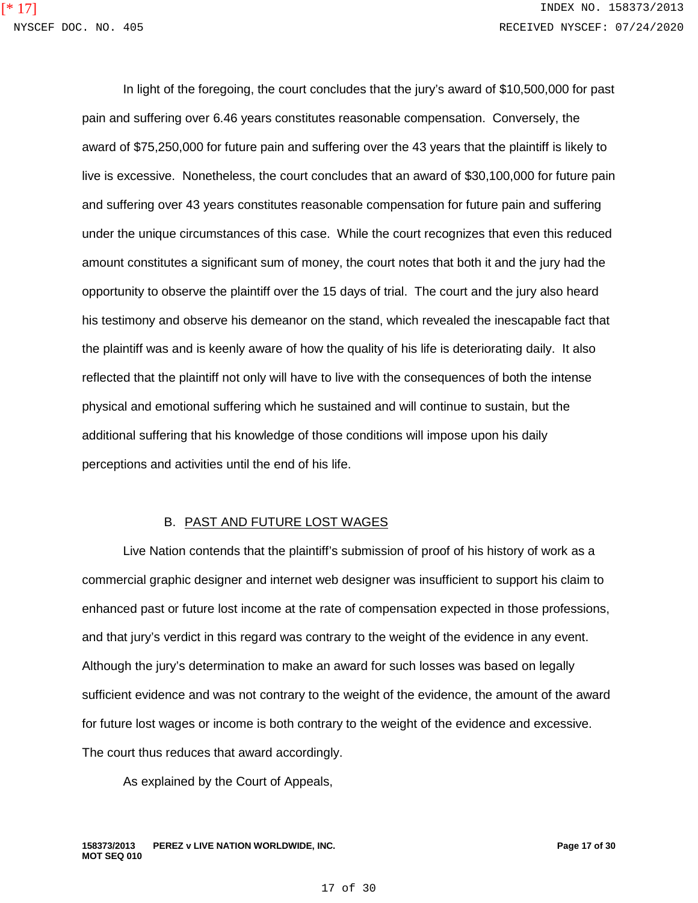In light of the foregoing, the court concludes that the jury's award of \$10,500,000 for past pain and suffering over 6.46 years constitutes reasonable compensation. Conversely, the award of \$75,250,000 for future pain and suffering over the 43 years that the plaintiff is likely to live is excessive. Nonetheless, the court concludes that an award of \$30,100,000 for future pain and suffering over 43 years constitutes reasonable compensation for future pain and suffering under the unique circumstances of this case. While the court recognizes that even this reduced amount constitutes a significant sum of money, the court notes that both it and the jury had the opportunity to observe the plaintiff over the 15 days of trial. The court and the jury also heard his testimony and observe his demeanor on the stand, which revealed the inescapable fact that the plaintiff was and is keenly aware of how the quality of his life is deteriorating daily. It also reflected that the plaintiff not only will have to live with the consequences of both the intense physical and emotional suffering which he sustained and will continue to sustain, but the additional suffering that his knowledge of those conditions will impose upon his daily perceptions and activities until the end of his life.

## B. PAST AND FUTURE LOST WAGES

Live Nation contends that the plaintiff's submission of proof of his history of work as a commercial graphic designer and internet web designer was insufficient to support his claim to enhanced past or future lost income at the rate of compensation expected in those professions, and that jury's verdict in this regard was contrary to the weight of the evidence in any event. Although the jury's determination to make an award for such losses was based on legally sufficient evidence and was not contrary to the weight of the evidence, the amount of the award for future lost wages or income is both contrary to the weight of the evidence and excessive. The court thus reduces that award accordingly.

As explained by the Court of Appeals,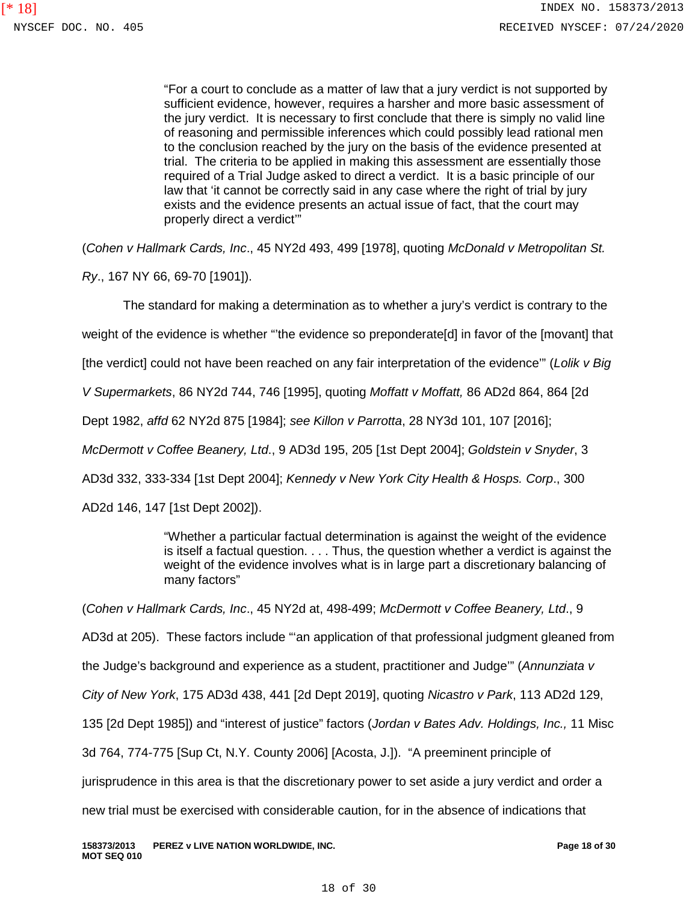"For a court to conclude as a matter of law that a jury verdict is not supported by sufficient evidence, however, requires a harsher and more basic assessment of the jury verdict. It is necessary to first conclude that there is simply no valid line of reasoning and permissible inferences which could possibly lead rational men to the conclusion reached by the jury on the basis of the evidence presented at trial. The criteria to be applied in making this assessment are essentially those required of a Trial Judge asked to direct a verdict. It is a basic principle of our law that 'it cannot be correctly said in any case where the right of trial by jury exists and the evidence presents an actual issue of fact, that the court may properly direct a verdict'"

(*Cohen v Hallmark Cards, Inc*., 45 NY2d 493, 499 [1978], quoting *McDonald v Metropolitan St.* 

*Ry*., 167 NY 66, 69-70 [1901]).

The standard for making a determination as to whether a jury's verdict is contrary to the

weight of the evidence is whether "'the evidence so preponderate[d] in favor of the [movant] that

[the verdict] could not have been reached on any fair interpretation of the evidence'" (*Lolik v Big* 

*V Supermarkets*, 86 NY2d 744, 746 [1995], quoting *Moffatt v Moffatt,* 86 AD2d 864, 864 [2d

Dept 1982, *affd* 62 NY2d 875 [1984]; *see Killon v Parrotta*, 28 NY3d 101, 107 [2016];

*McDermott v Coffee Beanery, Ltd*., 9 AD3d 195, 205 [1st Dept 2004]; *Goldstein v Snyder*, 3

AD3d 332, 333-334 [1st Dept 2004]; *Kennedy v New York City Health & Hosps. Corp*., 300

AD2d 146, 147 [1st Dept 2002]).

"Whether a particular factual determination is against the weight of the evidence is itself a factual question. . . . Thus, the question whether a verdict is against the weight of the evidence involves what is in large part a discretionary balancing of many factors"

(*Cohen v Hallmark Cards, Inc*., 45 NY2d at, 498-499; *McDermott v Coffee Beanery, Ltd*., 9

AD3d at 205). These factors include "'an application of that professional judgment gleaned from

the Judge's background and experience as a student, practitioner and Judge'" (*Annunziata v* 

*City of New York*, 175 AD3d 438, 441 [2d Dept 2019], quoting *Nicastro v Park*, 113 AD2d 129,

135 [2d Dept 1985]) and "interest of justice" factors (*Jordan v Bates Adv. Holdings, Inc.,* 11 Misc

3d 764, 774-775 [Sup Ct, N.Y. County 2006] [Acosta, J.]). "A preeminent principle of

jurisprudence in this area is that the discretionary power to set aside a jury verdict and order a

new trial must be exercised with considerable caution, for in the absence of indications that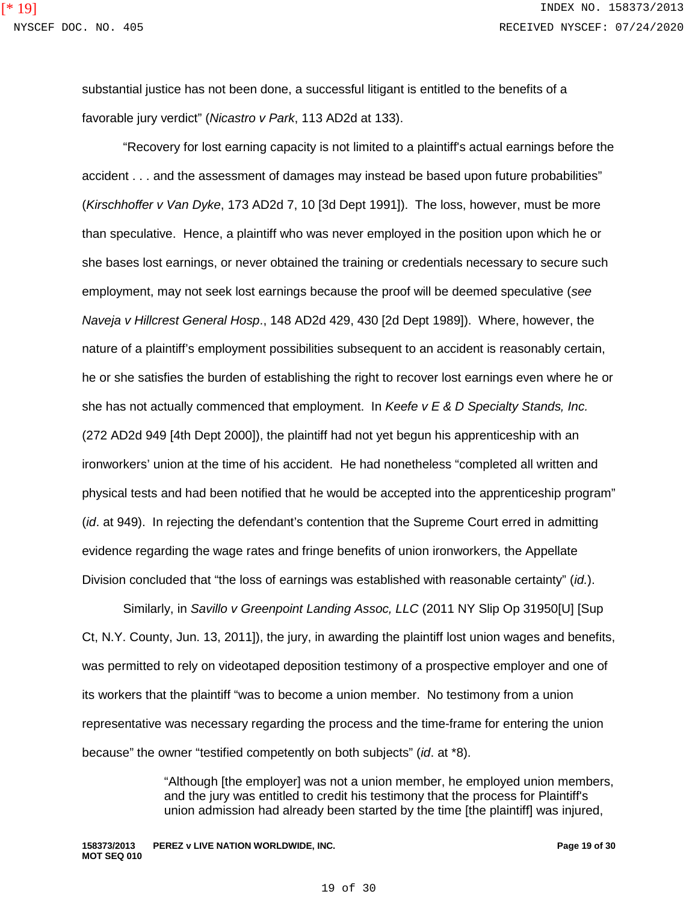substantial justice has not been done, a successful litigant is entitled to the benefits of a favorable jury verdict" (*Nicastro v Park*, 113 AD2d at 133).

"Recovery for lost earning capacity is not limited to a plaintiff's actual earnings before the accident . . . and the assessment of damages may instead be based upon future probabilities" (*Kirschhoffer v Van Dyke*, 173 AD2d 7, 10 [3d Dept 1991]). The loss, however, must be more than speculative. Hence, a plaintiff who was never employed in the position upon which he or she bases lost earnings, or never obtained the training or credentials necessary to secure such employment, may not seek lost earnings because the proof will be deemed speculative (*see Naveja v Hillcrest General Hosp*., 148 AD2d 429, 430 [2d Dept 1989]). Where, however, the nature of a plaintiff's employment possibilities subsequent to an accident is reasonably certain, he or she satisfies the burden of establishing the right to recover lost earnings even where he or she has not actually commenced that employment. In *Keefe v E & D Specialty Stands, Inc.* (272 AD2d 949 [4th Dept 2000]), the plaintiff had not yet begun his apprenticeship with an ironworkers' union at the time of his accident. He had nonetheless "completed all written and physical tests and had been notified that he would be accepted into the apprenticeship program" (*id*. at 949). In rejecting the defendant's contention that the Supreme Court erred in admitting evidence regarding the wage rates and fringe benefits of union ironworkers, the Appellate Division concluded that "the loss of earnings was established with reasonable certainty" (*id.*).

Similarly, in *Savillo v Greenpoint Landing Assoc, LLC* (2011 NY Slip Op 31950[U] [Sup Ct, N.Y. County, Jun. 13, 2011]), the jury, in awarding the plaintiff lost union wages and benefits, was permitted to rely on videotaped deposition testimony of a prospective employer and one of its workers that the plaintiff "was to become a union member. No testimony from a union representative was necessary regarding the process and the time-frame for entering the union because" the owner "testified competently on both subjects" (*id*. at \*8).

> "Although [the employer] was not a union member, he employed union members, and the jury was entitled to credit his testimony that the process for Plaintiff's union admission had already been started by the time [the plaintiff] was injured,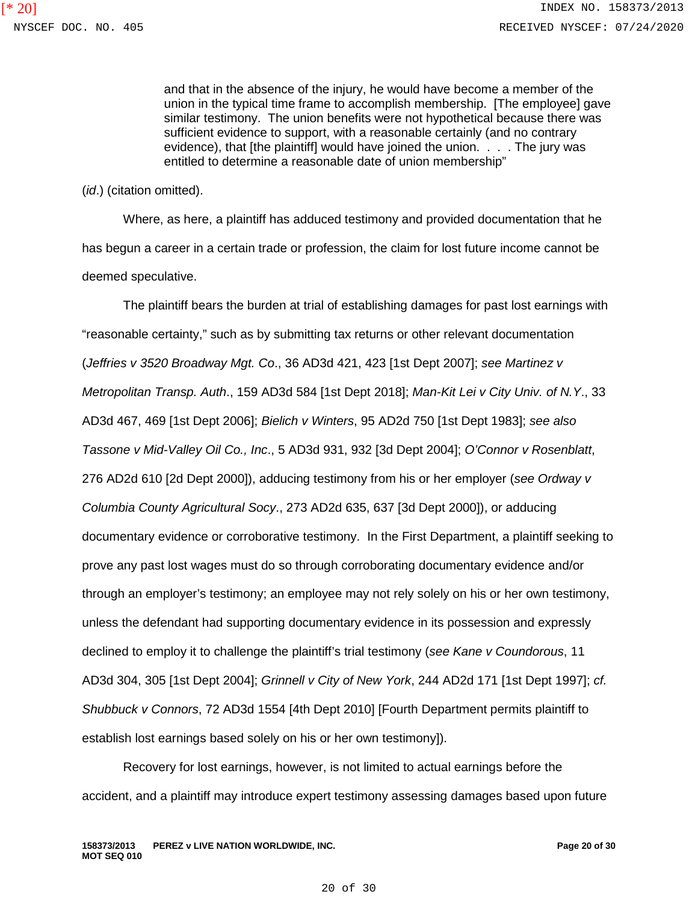and that in the absence of the injury, he would have become a member of the union in the typical time frame to accomplish membership. [The employee] gave similar testimony. The union benefits were not hypothetical because there was sufficient evidence to support, with a reasonable certainly (and no contrary evidence), that [the plaintiff] would have joined the union. . . . The jury was entitled to determine a reasonable date of union membership"

(*id*.) (citation omitted).

Where, as here, a plaintiff has adduced testimony and provided documentation that he has begun a career in a certain trade or profession, the claim for lost future income cannot be deemed speculative.

The plaintiff bears the burden at trial of establishing damages for past lost earnings with "reasonable certainty," such as by submitting tax returns or other relevant documentation (*Jeffries v 3520 Broadway Mgt. Co*., 36 AD3d 421, 423 [1st Dept 2007]; *see Martinez v Metropolitan Transp. Auth*., 159 AD3d 584 [1st Dept 2018]; *Man-Kit Lei v City Univ. of N.Y*., 33 AD3d 467, 469 [1st Dept 2006]; *Bielich v Winters*, 95 AD2d 750 [1st Dept 1983]; *see also Tassone v Mid-Valley Oil Co., Inc*., 5 AD3d 931, 932 [3d Dept 2004]; *O'Connor v Rosenblatt*, 276 AD2d 610 [2d Dept 2000]), adducing testimony from his or her employer (*see Ordway v Columbia County Agricultural Socy*., 273 AD2d 635, 637 [3d Dept 2000]), or adducing documentary evidence or corroborative testimony. In the First Department, a plaintiff seeking to prove any past lost wages must do so through corroborating documentary evidence and/or through an employer's testimony; an employee may not rely solely on his or her own testimony, unless the defendant had supporting documentary evidence in its possession and expressly declined to employ it to challenge the plaintiff's trial testimony (*see Kane v Coundorous*, 11 AD3d 304, 305 [1st Dept 2004]; *Grinnell v City of New York*, 244 AD2d 171 [1st Dept 1997]; *cf. Shubbuck v Connors*, 72 AD3d 1554 [4th Dept 2010] [Fourth Department permits plaintiff to establish lost earnings based solely on his or her own testimony]).

Recovery for lost earnings, however, is not limited to actual earnings before the accident, and a plaintiff may introduce expert testimony assessing damages based upon future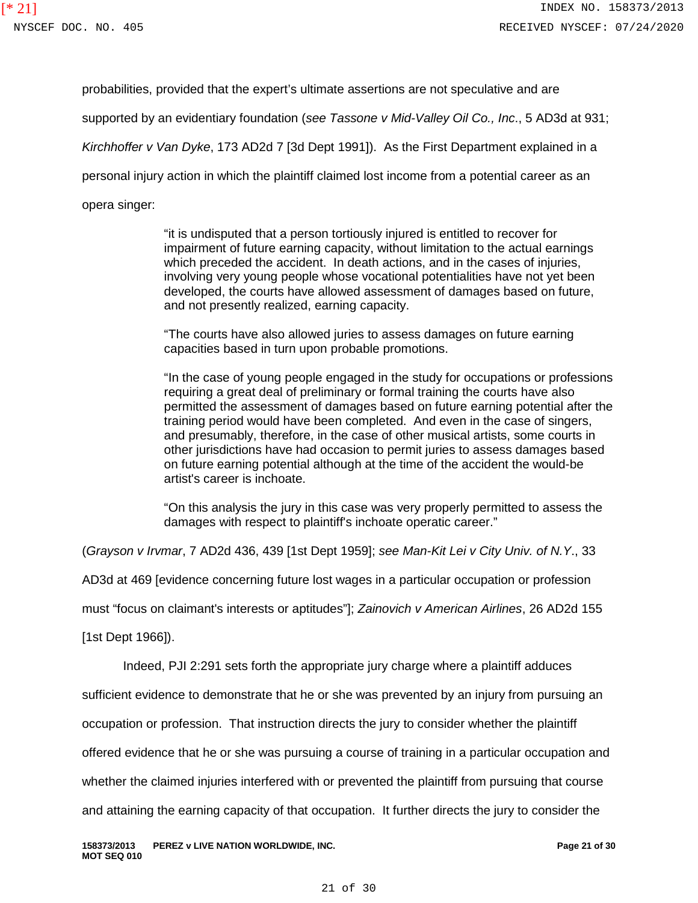probabilities, provided that the expert's ultimate assertions are not speculative and are

supported by an evidentiary foundation (*see Tassone v Mid-Valley Oil Co., Inc*., 5 AD3d at 931;

*Kirchhoffer v Van Dyke*, 173 AD2d 7 [3d Dept 1991]). As the First Department explained in a

personal injury action in which the plaintiff claimed lost income from a potential career as an

opera singer:

"it is undisputed that a person tortiously injured is entitled to recover for impairment of future earning capacity, without limitation to the actual earnings which preceded the accident. In death actions, and in the cases of injuries, involving very young people whose vocational potentialities have not yet been developed, the courts have allowed assessment of damages based on future, and not presently realized, earning capacity.

"The courts have also allowed juries to assess damages on future earning capacities based in turn upon probable promotions.

"In the case of young people engaged in the study for occupations or professions requiring a great deal of preliminary or formal training the courts have also permitted the assessment of damages based on future earning potential after the training period would have been completed. And even in the case of singers, and presumably, therefore, in the case of other musical artists, some courts in other jurisdictions have had occasion to permit juries to assess damages based on future earning potential although at the time of the accident the would-be artist's career is inchoate.

"On this analysis the jury in this case was very properly permitted to assess the damages with respect to plaintiff's inchoate operatic career."

(*Grayson v Irvmar*, 7 AD2d 436, 439 [1st Dept 1959]; *see Man-Kit Lei v City Univ. of N.Y*., 33

AD3d at 469 [evidence concerning future lost wages in a particular occupation or profession

must "focus on claimant's interests or aptitudes"]; *Zainovich v American Airlines*, 26 AD2d 155

[1st Dept 1966]).

Indeed, PJI 2:291 sets forth the appropriate jury charge where a plaintiff adduces

sufficient evidence to demonstrate that he or she was prevented by an injury from pursuing an

occupation or profession. That instruction directs the jury to consider whether the plaintiff

offered evidence that he or she was pursuing a course of training in a particular occupation and

whether the claimed injuries interfered with or prevented the plaintiff from pursuing that course

and attaining the earning capacity of that occupation. It further directs the jury to consider the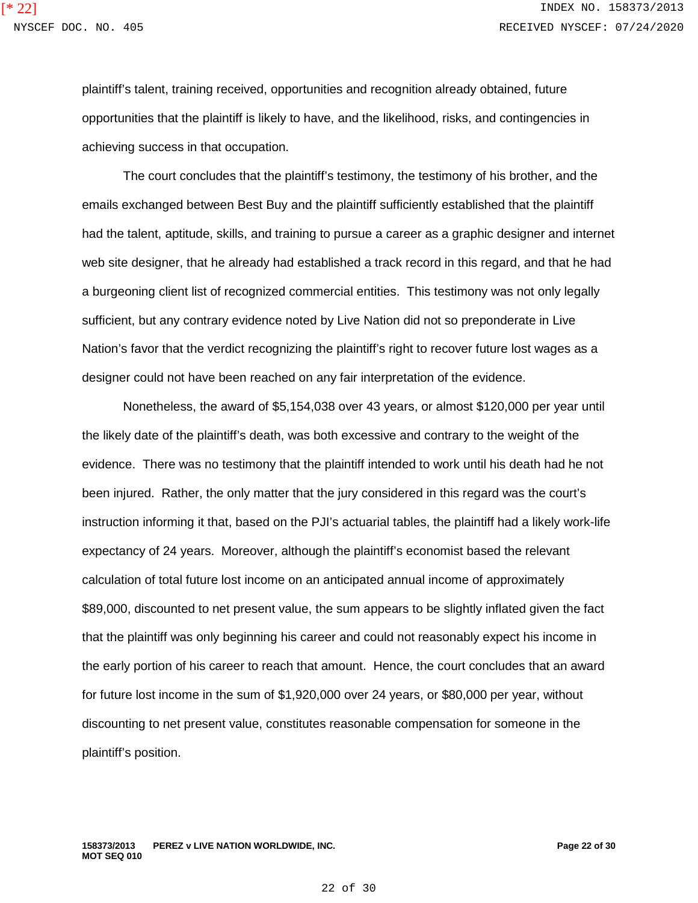plaintiff's talent, training received, opportunities and recognition already obtained, future opportunities that the plaintiff is likely to have, and the likelihood, risks, and contingencies in achieving success in that occupation.

The court concludes that the plaintiff's testimony, the testimony of his brother, and the emails exchanged between Best Buy and the plaintiff sufficiently established that the plaintiff had the talent, aptitude, skills, and training to pursue a career as a graphic designer and internet web site designer, that he already had established a track record in this regard, and that he had a burgeoning client list of recognized commercial entities. This testimony was not only legally sufficient, but any contrary evidence noted by Live Nation did not so preponderate in Live Nation's favor that the verdict recognizing the plaintiff's right to recover future lost wages as a designer could not have been reached on any fair interpretation of the evidence.

Nonetheless, the award of \$5,154,038 over 43 years, or almost \$120,000 per year until the likely date of the plaintiff's death, was both excessive and contrary to the weight of the evidence. There was no testimony that the plaintiff intended to work until his death had he not been injured. Rather, the only matter that the jury considered in this regard was the court's instruction informing it that, based on the PJI's actuarial tables, the plaintiff had a likely work-life expectancy of 24 years. Moreover, although the plaintiff's economist based the relevant calculation of total future lost income on an anticipated annual income of approximately \$89,000, discounted to net present value, the sum appears to be slightly inflated given the fact that the plaintiff was only beginning his career and could not reasonably expect his income in the early portion of his career to reach that amount. Hence, the court concludes that an award for future lost income in the sum of \$1,920,000 over 24 years, or \$80,000 per year, without discounting to net present value, constitutes reasonable compensation for someone in the plaintiff's position.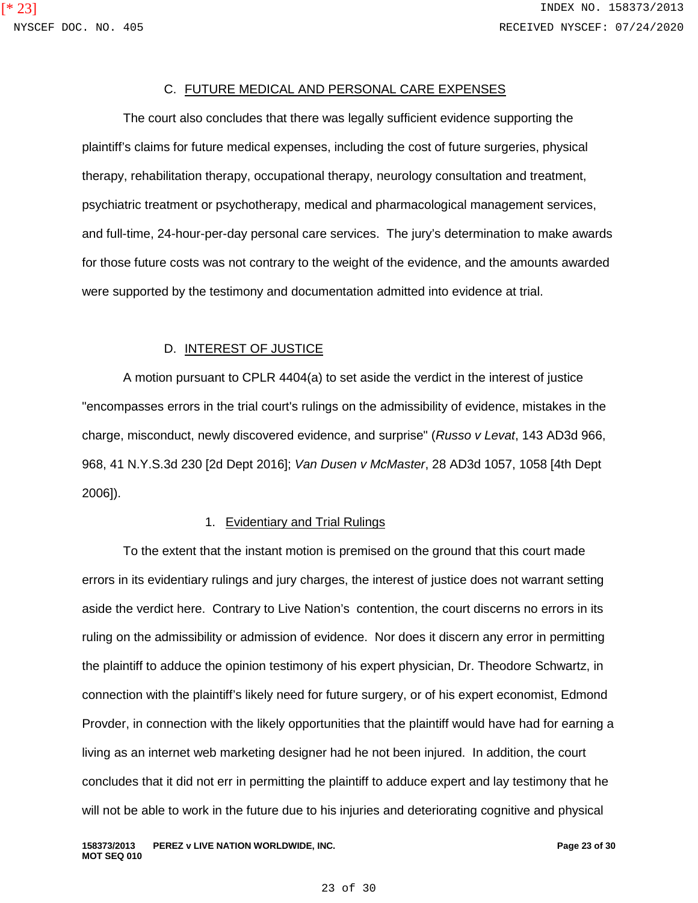## C. FUTURE MEDICAL AND PERSONAL CARE EXPENSES

The court also concludes that there was legally sufficient evidence supporting the plaintiff's claims for future medical expenses, including the cost of future surgeries, physical therapy, rehabilitation therapy, occupational therapy, neurology consultation and treatment, psychiatric treatment or psychotherapy, medical and pharmacological management services, and full-time, 24-hour-per-day personal care services. The jury's determination to make awards for those future costs was not contrary to the weight of the evidence, and the amounts awarded were supported by the testimony and documentation admitted into evidence at trial.

#### D. INTEREST OF JUSTICE

A motion pursuant to CPLR 4404(a) to set aside the verdict in the interest of justice "encompasses errors in the trial court's rulings on the admissibility of evidence, mistakes in the charge, misconduct, newly discovered evidence, and surprise" (*Russo v Levat*, 143 AD3d 966, 968, 41 N.Y.S.3d 230 [2d Dept 2016]; *Van Dusen v McMaster*, 28 AD3d 1057, 1058 [4th Dept 2006]).

#### 1. Evidentiary and Trial Rulings

To the extent that the instant motion is premised on the ground that this court made errors in its evidentiary rulings and jury charges, the interest of justice does not warrant setting aside the verdict here. Contrary to Live Nation's contention, the court discerns no errors in its ruling on the admissibility or admission of evidence. Nor does it discern any error in permitting the plaintiff to adduce the opinion testimony of his expert physician, Dr. Theodore Schwartz, in connection with the plaintiff's likely need for future surgery, or of his expert economist, Edmond Provder, in connection with the likely opportunities that the plaintiff would have had for earning a living as an internet web marketing designer had he not been injured. In addition, the court concludes that it did not err in permitting the plaintiff to adduce expert and lay testimony that he will not be able to work in the future due to his injuries and deteriorating cognitive and physical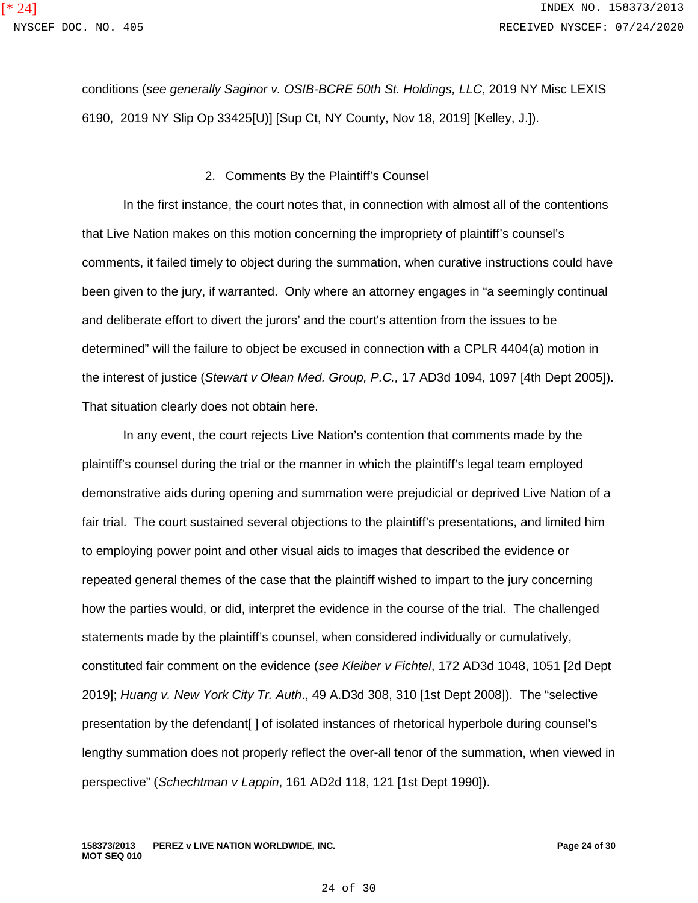conditions (*see generally Saginor v. OSIB-BCRE 50th St. Holdings, LLC*, 2019 NY Misc LEXIS 6190, 2019 NY Slip Op 33425[U)] [Sup Ct, NY County, Nov 18, 2019] [Kelley, J.]).

#### 2. Comments By the Plaintiff's Counsel

In the first instance, the court notes that, in connection with almost all of the contentions that Live Nation makes on this motion concerning the impropriety of plaintiff's counsel's comments, it failed timely to object during the summation, when curative instructions could have been given to the jury, if warranted. Only where an attorney engages in "a seemingly continual and deliberate effort to divert the jurors' and the court's attention from the issues to be determined" will the failure to object be excused in connection with a CPLR 4404(a) motion in the interest of justice (*Stewart v Olean Med. Group, P.C.,* 17 AD3d 1094, 1097 [4th Dept 2005]). That situation clearly does not obtain here.

In any event, the court rejects Live Nation's contention that comments made by the plaintiff's counsel during the trial or the manner in which the plaintiff's legal team employed demonstrative aids during opening and summation were prejudicial or deprived Live Nation of a fair trial. The court sustained several objections to the plaintiff's presentations, and limited him to employing power point and other visual aids to images that described the evidence or repeated general themes of the case that the plaintiff wished to impart to the jury concerning how the parties would, or did, interpret the evidence in the course of the trial. The challenged statements made by the plaintiff's counsel, when considered individually or cumulatively, constituted fair comment on the evidence (*see Kleiber v Fichtel*, 172 AD3d 1048, 1051 [2d Dept 2019]; *Huang v. New York City Tr. Auth*., 49 A.D3d 308, 310 [1st Dept 2008]). The "selective presentation by the defendant[] of isolated instances of rhetorical hyperbole during counsel's lengthy summation does not properly reflect the over-all tenor of the summation, when viewed in perspective" (*Schechtman v Lappin*, 161 AD2d 118, 121 [1st Dept 1990]).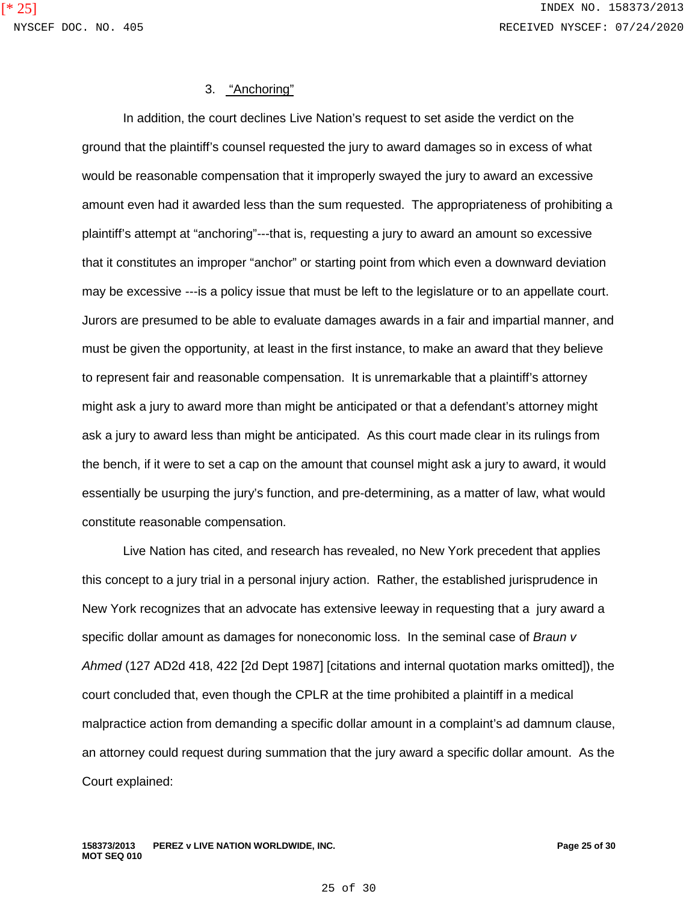#### 3. "Anchoring"

In addition, the court declines Live Nation's request to set aside the verdict on the ground that the plaintiff's counsel requested the jury to award damages so in excess of what would be reasonable compensation that it improperly swayed the jury to award an excessive amount even had it awarded less than the sum requested. The appropriateness of prohibiting a plaintiff's attempt at "anchoring"---that is, requesting a jury to award an amount so excessive that it constitutes an improper "anchor" or starting point from which even a downward deviation may be excessive ---is a policy issue that must be left to the legislature or to an appellate court. Jurors are presumed to be able to evaluate damages awards in a fair and impartial manner, and must be given the opportunity, at least in the first instance, to make an award that they believe to represent fair and reasonable compensation. It is unremarkable that a plaintiff's attorney might ask a jury to award more than might be anticipated or that a defendant's attorney might ask a jury to award less than might be anticipated. As this court made clear in its rulings from the bench, if it were to set a cap on the amount that counsel might ask a jury to award, it would essentially be usurping the jury's function, and pre-determining, as a matter of law, what would constitute reasonable compensation.

Live Nation has cited, and research has revealed, no New York precedent that applies this concept to a jury trial in a personal injury action. Rather, the established jurisprudence in New York recognizes that an advocate has extensive leeway in requesting that a jury award a specific dollar amount as damages for noneconomic loss. In the seminal case of *Braun v Ahmed* (127 AD2d 418, 422 [2d Dept 1987] [citations and internal quotation marks omitted]), the court concluded that, even though the CPLR at the time prohibited a plaintiff in a medical malpractice action from demanding a specific dollar amount in a complaint's ad damnum clause, an attorney could request during summation that the jury award a specific dollar amount. As the Court explained: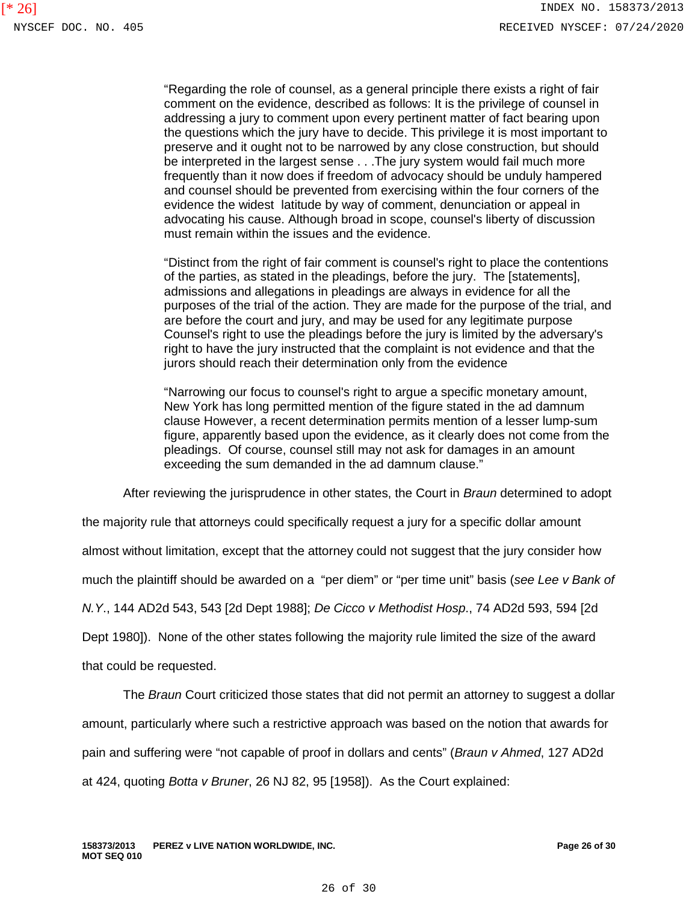"Regarding the role of counsel, as a general principle there exists a right of fair comment on the evidence, described as follows: It is the privilege of counsel in addressing a jury to comment upon every pertinent matter of fact bearing upon the questions which the jury have to decide. This privilege it is most important to preserve and it ought not to be narrowed by any close construction, but should be interpreted in the largest sense . . .The jury system would fail much more frequently than it now does if freedom of advocacy should be unduly hampered and counsel should be prevented from exercising within the four corners of the evidence the widest latitude by way of comment, denunciation or appeal in advocating his cause. Although broad in scope, counsel's liberty of discussion must remain within the issues and the evidence.

"Distinct from the right of fair comment is counsel's right to place the contentions of the parties, as stated in the pleadings, before the jury. The [statements], admissions and allegations in pleadings are always in evidence for all the purposes of the trial of the action. They are made for the purpose of the trial, and are before the court and jury, and may be used for any legitimate purpose Counsel's right to use the pleadings before the jury is limited by the adversary's right to have the jury instructed that the complaint is not evidence and that the jurors should reach their determination only from the evidence

"Narrowing our focus to counsel's right to argue a specific monetary amount, New York has long permitted mention of the figure stated in the ad damnum clause However, a recent determination permits mention of a lesser lump-sum figure, apparently based upon the evidence, as it clearly does not come from the pleadings. Of course, counsel still may not ask for damages in an amount exceeding the sum demanded in the ad damnum clause."

After reviewing the jurisprudence in other states, the Court in *Braun* determined to adopt

the majority rule that attorneys could specifically request a jury for a specific dollar amount

almost without limitation, except that the attorney could not suggest that the jury consider how

much the plaintiff should be awarded on a "per diem" or "per time unit" basis (*see Lee v Bank of* 

*N.Y*., 144 AD2d 543, 543 [2d Dept 1988]; *De Cicco v Methodist Hosp*., 74 AD2d 593, 594 [2d

Dept 1980]). None of the other states following the majority rule limited the size of the award

that could be requested.

The *Braun* Court criticized those states that did not permit an attorney to suggest a dollar

amount, particularly where such a restrictive approach was based on the notion that awards for

pain and suffering were "not capable of proof in dollars and cents" (*Braun v Ahmed*, 127 AD2d

at 424, quoting *Botta v Bruner*, 26 NJ 82, 95 [1958]). As the Court explained: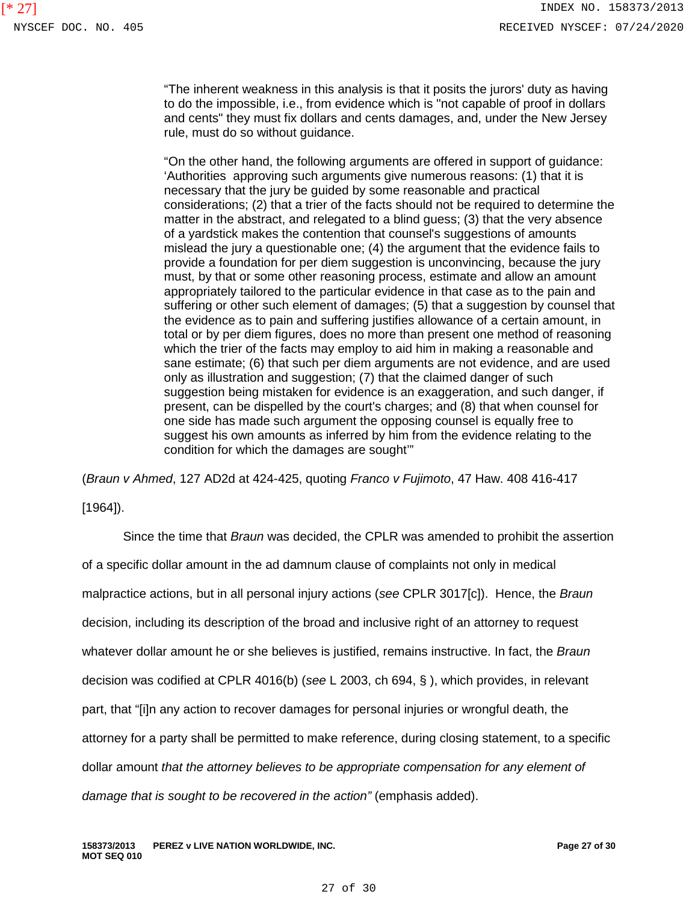"The inherent weakness in this analysis is that it posits the jurors' duty as having to do the impossible, i.e., from evidence which is "not capable of proof in dollars and cents" they must fix dollars and cents damages, and, under the New Jersey rule, must do so without guidance.

"On the other hand, the following arguments are offered in support of guidance: 'Authorities approving such arguments give numerous reasons: (1) that it is necessary that the jury be guided by some reasonable and practical considerations; (2) that a trier of the facts should not be required to determine the matter in the abstract, and relegated to a blind guess; (3) that the very absence of a yardstick makes the contention that counsel's suggestions of amounts mislead the jury a questionable one; (4) the argument that the evidence fails to provide a foundation for per diem suggestion is unconvincing, because the jury must, by that or some other reasoning process, estimate and allow an amount appropriately tailored to the particular evidence in that case as to the pain and suffering or other such element of damages; (5) that a suggestion by counsel that the evidence as to pain and suffering justifies allowance of a certain amount, in total or by per diem figures, does no more than present one method of reasoning which the trier of the facts may employ to aid him in making a reasonable and sane estimate; (6) that such per diem arguments are not evidence, and are used only as illustration and suggestion; (7) that the claimed danger of such suggestion being mistaken for evidence is an exaggeration, and such danger, if present, can be dispelled by the court's charges; and (8) that when counsel for one side has made such argument the opposing counsel is equally free to suggest his own amounts as inferred by him from the evidence relating to the condition for which the damages are sought'"

(*Braun v Ahmed*, 127 AD2d at 424-425, quoting *Franco v Fujimoto*, 47 Haw. 408 416-417

[1964]).

Since the time that *Braun* was decided, the CPLR was amended to prohibit the assertion of a specific dollar amount in the ad damnum clause of complaints not only in medical malpractice actions, but in all personal injury actions (*see* CPLR 3017[c]). Hence, the *Braun* decision, including its description of the broad and inclusive right of an attorney to request whatever dollar amount he or she believes is justified, remains instructive. In fact, the *Braun* decision was codified at CPLR 4016(b) (*see* L 2003, ch 694, § ), which provides, in relevant part, that "[i]n any action to recover damages for personal injuries or wrongful death, the attorney for a party shall be permitted to make reference, during closing statement, to a specific dollar amount *that the attorney believes to be appropriate compensation for any element of*  damage that is sought to be recovered in the action" (emphasis added).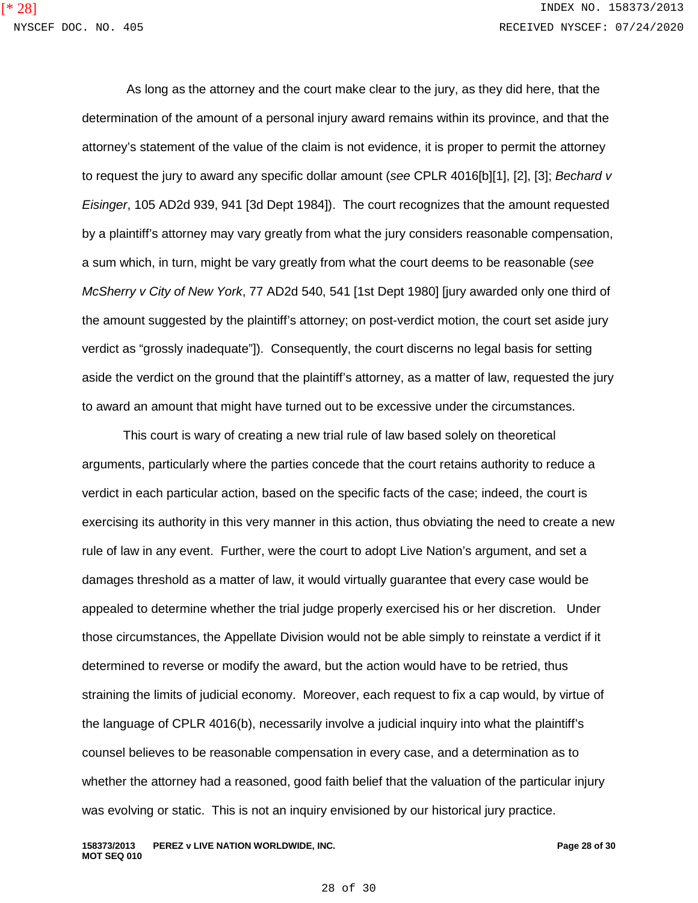As long as the attorney and the court make clear to the jury, as they did here, that the determination of the amount of a personal injury award remains within its province, and that the attorney's statement of the value of the claim is not evidence, it is proper to permit the attorney to request the jury to award any specific dollar amount (*see* CPLR 4016[b][1], [2], [3]; *Bechard v Eisinger*, 105 AD2d 939, 941 [3d Dept 1984]). The court recognizes that the amount requested by a plaintiff's attorney may vary greatly from what the jury considers reasonable compensation, a sum which, in turn, might be vary greatly from what the court deems to be reasonable (*see McSherry v City of New York*, 77 AD2d 540, 541 [1st Dept 1980] [jury awarded only one third of the amount suggested by the plaintiff's attorney; on post-verdict motion, the court set aside jury verdict as "grossly inadequate"]). Consequently, the court discerns no legal basis for setting aside the verdict on the ground that the plaintiff's attorney, as a matter of law, requested the jury to award an amount that might have turned out to be excessive under the circumstances.

This court is wary of creating a new trial rule of law based solely on theoretical arguments, particularly where the parties concede that the court retains authority to reduce a verdict in each particular action, based on the specific facts of the case; indeed, the court is exercising its authority in this very manner in this action, thus obviating the need to create a new rule of law in any event. Further, were the court to adopt Live Nation's argument, and set a damages threshold as a matter of law, it would virtually guarantee that every case would be appealed to determine whether the trial judge properly exercised his or her discretion. Under those circumstances, the Appellate Division would not be able simply to reinstate a verdict if it determined to reverse or modify the award, but the action would have to be retried, thus straining the limits of judicial economy. Moreover, each request to fix a cap would, by virtue of the language of CPLR 4016(b), necessarily involve a judicial inquiry into what the plaintiff's counsel believes to be reasonable compensation in every case, and a determination as to whether the attorney had a reasoned, good faith belief that the valuation of the particular injury was evolving or static. This is not an inquiry envisioned by our historical jury practice.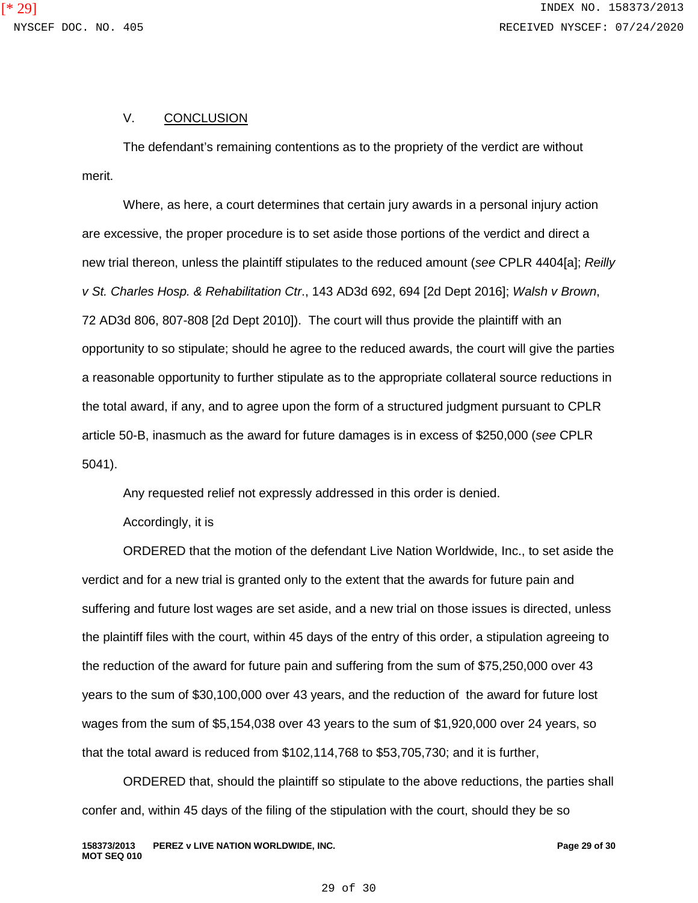## V. CONCLUSION

The defendant's remaining contentions as to the propriety of the verdict are without merit.

Where, as here, a court determines that certain jury awards in a personal injury action are excessive, the proper procedure is to set aside those portions of the verdict and direct a new trial thereon, unless the plaintiff stipulates to the reduced amount (*see* CPLR 4404[a]; *Reilly v St. Charles Hosp. & Rehabilitation Ctr*., 143 AD3d 692, 694 [2d Dept 2016]; *Walsh v Brown*, 72 AD3d 806, 807-808 [2d Dept 2010]). The court will thus provide the plaintiff with an opportunity to so stipulate; should he agree to the reduced awards, the court will give the parties a reasonable opportunity to further stipulate as to the appropriate collateral source reductions in the total award, if any, and to agree upon the form of a structured judgment pursuant to CPLR article 50-B, inasmuch as the award for future damages is in excess of \$250,000 (*see* CPLR 5041).

Any requested relief not expressly addressed in this order is denied.

Accordingly, it is

ORDERED that the motion of the defendant Live Nation Worldwide, Inc., to set aside the verdict and for a new trial is granted only to the extent that the awards for future pain and suffering and future lost wages are set aside, and a new trial on those issues is directed, unless the plaintiff files with the court, within 45 days of the entry of this order, a stipulation agreeing to the reduction of the award for future pain and suffering from the sum of \$75,250,000 over 43 years to the sum of \$30,100,000 over 43 years, and the reduction of the award for future lost wages from the sum of \$5,154,038 over 43 years to the sum of \$1,920,000 over 24 years, so that the total award is reduced from \$102,114,768 to \$53,705,730; and it is further,

ORDERED that, should the plaintiff so stipulate to the above reductions, the parties shall confer and, within 45 days of the filing of the stipulation with the court, should they be so